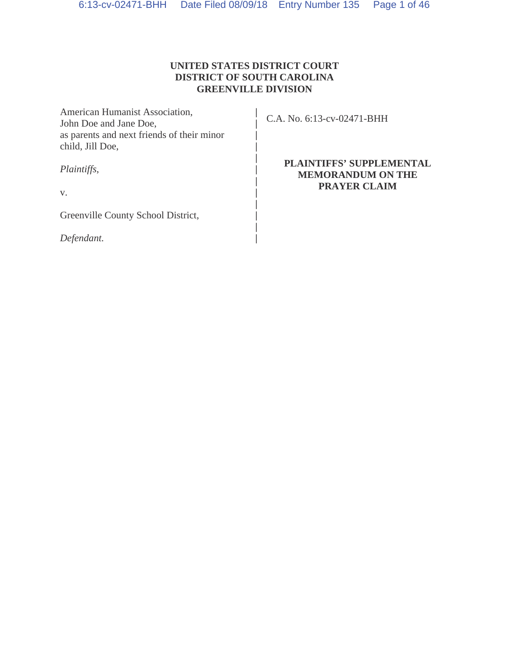# **UNITED STATES DISTRICT COURT DISTRICT OF SOUTH CAROLINA GREENVILLE DIVISION**

| American Humanist Association,<br>John Doe and Jane Doe,       | C.A. No. 6:13-cv-02471-BHH                                  |
|----------------------------------------------------------------|-------------------------------------------------------------|
| as parents and next friends of their minor<br>child, Jill Doe, |                                                             |
| Plaintiffs,                                                    | <b>PLAINTIFFS' SUPPLEMENTAL</b><br><b>MEMORANDUM ON THE</b> |
| $V_{\star}$                                                    | <b>PRAYER CLAIM</b>                                         |
| Greenville County School District,                             |                                                             |
| Defendant.                                                     |                                                             |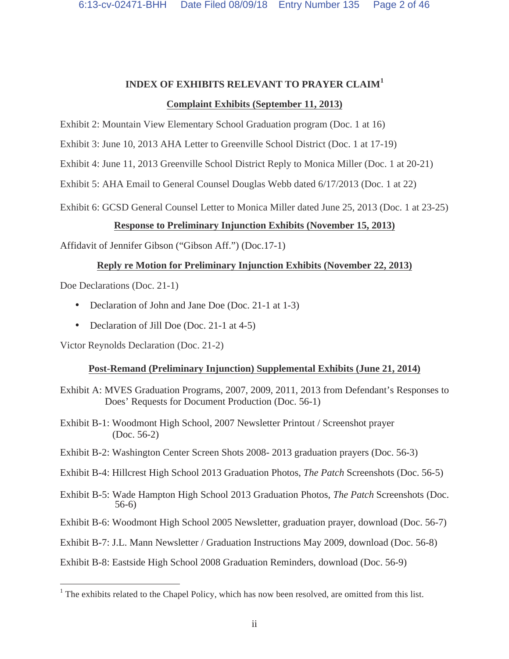### **INDEX OF EXHIBITS RELEVANT TO PRAYER CLAIM<sup>1</sup>**

### **Complaint Exhibits (September 11, 2013)**

Exhibit 2: Mountain View Elementary School Graduation program (Doc. 1 at 16)

Exhibit 3: June 10, 2013 AHA Letter to Greenville School District (Doc. 1 at 17-19)

Exhibit 4: June 11, 2013 Greenville School District Reply to Monica Miller (Doc. 1 at 20-21)

Exhibit 5: AHA Email to General Counsel Douglas Webb dated 6/17/2013 (Doc. 1 at 22)

Exhibit 6: GCSD General Counsel Letter to Monica Miller dated June 25, 2013 (Doc. 1 at 23-25)

# **Response to Preliminary Injunction Exhibits (November 15, 2013)**

Affidavit of Jennifer Gibson ("Gibson Aff.") (Doc.17-1)

# **Reply re Motion for Preliminary Injunction Exhibits (November 22, 2013)**

Doe Declarations (Doc. 21-1)

 $\overline{a}$ 

- Declaration of John and Jane Doe (Doc. 21-1 at 1-3)
- Declaration of Jill Doe (Doc. 21-1 at 4-5)

Victor Reynolds Declaration (Doc. 21-2)

# **Post-Remand (Preliminary Injunction) Supplemental Exhibits (June 21, 2014)**

- Exhibit A: MVES Graduation Programs, 2007, 2009, 2011, 2013 from Defendant's Responses to Does' Requests for Document Production (Doc. 56-1)
- Exhibit B-1: Woodmont High School, 2007 Newsletter Printout / Screenshot prayer (Doc. 56-2)
- Exhibit B-2: Washington Center Screen Shots 2008- 2013 graduation prayers (Doc. 56-3)
- Exhibit B-4: Hillcrest High School 2013 Graduation Photos, *The Patch* Screenshots (Doc. 56-5)
- Exhibit B-5: Wade Hampton High School 2013 Graduation Photos, *The Patch* Screenshots (Doc. 56-6)
- Exhibit B-6: Woodmont High School 2005 Newsletter, graduation prayer, download (Doc. 56-7)

Exhibit B-7: J.L. Mann Newsletter / Graduation Instructions May 2009, download (Doc. 56-8)

Exhibit B-8: Eastside High School 2008 Graduation Reminders, download (Doc. 56-9)

 $<sup>1</sup>$  The exhibits related to the Chapel Policy, which has now been resolved, are omitted from this list.</sup>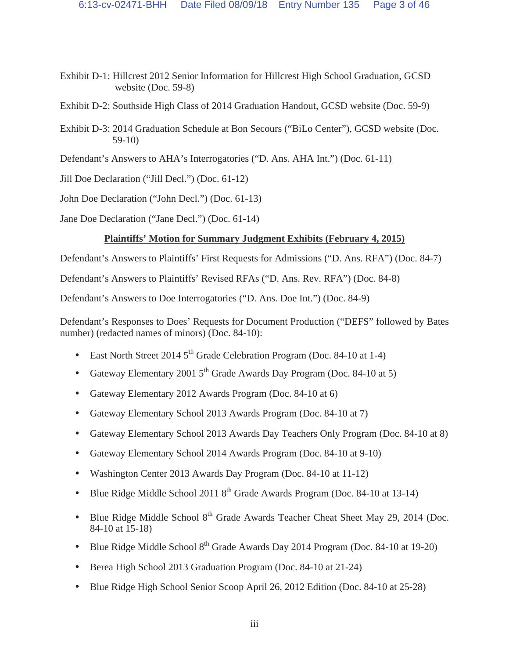- Exhibit D-1: Hillcrest 2012 Senior Information for Hillcrest High School Graduation, GCSD website (Doc. 59-8)
- Exhibit D-2: Southside High Class of 2014 Graduation Handout, GCSD website (Doc. 59-9)
- Exhibit D-3: 2014 Graduation Schedule at Bon Secours ("BiLo Center"), GCSD website (Doc. 59-10)
- Defendant's Answers to AHA's Interrogatories ("D. Ans. AHA Int.") (Doc. 61-11)

Jill Doe Declaration ("Jill Decl.") (Doc. 61-12)

John Doe Declaration ("John Decl.") (Doc. 61-13)

Jane Doe Declaration ("Jane Decl.") (Doc. 61-14)

# **Plaintiffs' Motion for Summary Judgment Exhibits (February 4, 2015)**

Defendant's Answers to Plaintiffs' First Requests for Admissions ("D. Ans. RFA") (Doc. 84-7)

Defendant's Answers to Plaintiffs' Revised RFAs ("D. Ans. Rev. RFA") (Doc. 84-8)

Defendant's Answers to Doe Interrogatories ("D. Ans. Doe Int.") (Doc. 84-9)

Defendant's Responses to Does' Requests for Document Production ("DEFS" followed by Bates number) (redacted names of minors) (Doc. 84-10):

- East North Street 2014  $5<sup>th</sup>$  Grade Celebration Program (Doc. 84-10 at 1-4)
- Gateway Elementary 2001  $5<sup>th</sup>$  Grade Awards Day Program (Doc. 84-10 at 5)
- Gateway Elementary 2012 Awards Program (Doc. 84-10 at 6)
- Gateway Elementary School 2013 Awards Program (Doc. 84-10 at 7)
- Gateway Elementary School 2013 Awards Day Teachers Only Program (Doc. 84-10 at 8)
- Gateway Elementary School 2014 Awards Program (Doc. 84-10 at 9-10)
- Washington Center 2013 Awards Day Program (Doc. 84-10 at 11-12)
- Blue Ridge Middle School 2011  $8<sup>th</sup>$  Grade Awards Program (Doc. 84-10 at 13-14)
- Blue Ridge Middle School 8<sup>th</sup> Grade Awards Teacher Cheat Sheet May 29, 2014 (Doc. 84-10 at 15-18)
- Blue Ridge Middle School 8<sup>th</sup> Grade Awards Day 2014 Program (Doc. 84-10 at 19-20)
- Berea High School 2013 Graduation Program (Doc. 84-10 at 21-24)
- Blue Ridge High School Senior Scoop April 26, 2012 Edition (Doc. 84-10 at 25-28)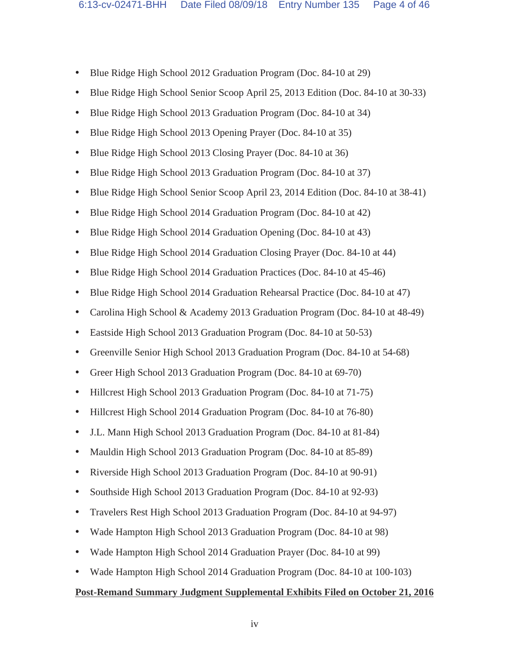- Blue Ridge High School 2012 Graduation Program (Doc. 84-10 at 29)
- Blue Ridge High School Senior Scoop April 25, 2013 Edition (Doc. 84-10 at 30-33)
- Blue Ridge High School 2013 Graduation Program (Doc. 84-10 at 34)
- Blue Ridge High School 2013 Opening Prayer (Doc. 84-10 at 35)
- Blue Ridge High School 2013 Closing Prayer (Doc. 84-10 at 36)
- Blue Ridge High School 2013 Graduation Program (Doc. 84-10 at 37)
- Blue Ridge High School Senior Scoop April 23, 2014 Edition (Doc. 84-10 at 38-41)
- Blue Ridge High School 2014 Graduation Program (Doc. 84-10 at 42)
- Blue Ridge High School 2014 Graduation Opening (Doc. 84-10 at 43)
- Blue Ridge High School 2014 Graduation Closing Prayer (Doc. 84-10 at 44)
- Blue Ridge High School 2014 Graduation Practices (Doc. 84-10 at 45-46)
- Blue Ridge High School 2014 Graduation Rehearsal Practice (Doc. 84-10 at 47)
- Carolina High School & Academy 2013 Graduation Program (Doc. 84-10 at 48-49)
- Eastside High School 2013 Graduation Program (Doc. 84-10 at 50-53)
- Greenville Senior High School 2013 Graduation Program (Doc. 84-10 at 54-68)
- Greer High School 2013 Graduation Program (Doc. 84-10 at 69-70)
- Hillcrest High School 2013 Graduation Program (Doc. 84-10 at 71-75)
- Hillcrest High School 2014 Graduation Program (Doc. 84-10 at 76-80)
- J.L. Mann High School 2013 Graduation Program (Doc. 84-10 at 81-84)
- Mauldin High School 2013 Graduation Program (Doc. 84-10 at 85-89)
- Riverside High School 2013 Graduation Program (Doc. 84-10 at 90-91)
- Southside High School 2013 Graduation Program (Doc. 84-10 at 92-93)
- Travelers Rest High School 2013 Graduation Program (Doc. 84-10 at 94-97)
- Wade Hampton High School 2013 Graduation Program (Doc. 84-10 at 98)
- Wade Hampton High School 2014 Graduation Prayer (Doc. 84-10 at 99)
- Wade Hampton High School 2014 Graduation Program (Doc. 84-10 at 100-103)

#### **Post-Remand Summary Judgment Supplemental Exhibits Filed on October 21, 2016**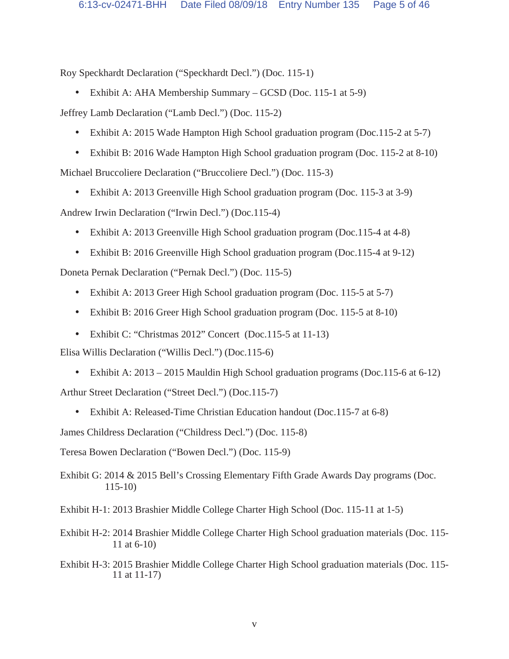Roy Speckhardt Declaration ("Speckhardt Decl.") (Doc. 115-1)

• Exhibit A: AHA Membership Summary – GCSD (Doc. 115-1 at 5-9)

Jeffrey Lamb Declaration ("Lamb Decl.") (Doc. 115-2)

- Exhibit A: 2015 Wade Hampton High School graduation program (Doc.115-2 at 5-7)
- Exhibit B: 2016 Wade Hampton High School graduation program (Doc. 115-2 at 8-10)

Michael Bruccoliere Declaration ("Bruccoliere Decl.") (Doc. 115-3)

• Exhibit A: 2013 Greenville High School graduation program (Doc. 115-3 at 3-9)

Andrew Irwin Declaration ("Irwin Decl.") (Doc.115-4)

- Exhibit A: 2013 Greenville High School graduation program (Doc.115-4 at 4-8)
- Exhibit B: 2016 Greenville High School graduation program (Doc.115-4 at 9-12)

Doneta Pernak Declaration ("Pernak Decl.") (Doc. 115-5)

- Exhibit A: 2013 Greer High School graduation program (Doc. 115-5 at 5-7)
- Exhibit B: 2016 Greer High School graduation program (Doc. 115-5 at 8-10)
- Exhibit C: "Christmas 2012" Concert (Doc.115-5 at 11-13)

Elisa Willis Declaration ("Willis Decl.") (Doc.115-6)

• Exhibit A: 2013 – 2015 Mauldin High School graduation programs (Doc.115-6 at 6-12)

Arthur Street Declaration ("Street Decl.") (Doc.115-7)

• Exhibit A: Released-Time Christian Education handout (Doc.115-7 at 6-8)

James Childress Declaration ("Childress Decl.") (Doc. 115-8)

Teresa Bowen Declaration ("Bowen Decl.") (Doc. 115-9)

Exhibit G: 2014 & 2015 Bell's Crossing Elementary Fifth Grade Awards Day programs (Doc. 115-10)

Exhibit H-1: 2013 Brashier Middle College Charter High School (Doc. 115-11 at 1-5)

- Exhibit H-2: 2014 Brashier Middle College Charter High School graduation materials (Doc. 115- 11 at 6-10)
- Exhibit H-3: 2015 Brashier Middle College Charter High School graduation materials (Doc. 115- 11 at 11-17)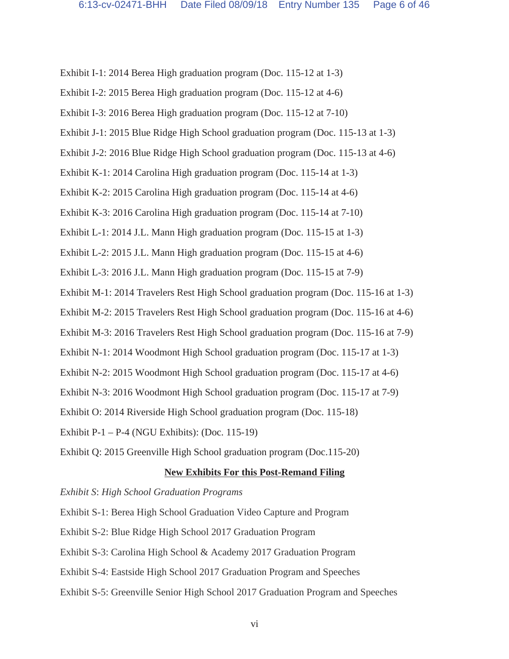Exhibit I-1: 2014 Berea High graduation program (Doc. 115-12 at 1-3)

- Exhibit I-2: 2015 Berea High graduation program (Doc. 115-12 at 4-6)
- Exhibit I-3: 2016 Berea High graduation program (Doc. 115-12 at 7-10)
- Exhibit J-1: 2015 Blue Ridge High School graduation program (Doc. 115-13 at 1-3)
- Exhibit J-2: 2016 Blue Ridge High School graduation program (Doc. 115-13 at 4-6)

Exhibit K-1: 2014 Carolina High graduation program (Doc. 115-14 at 1-3)

Exhibit K-2: 2015 Carolina High graduation program (Doc. 115-14 at 4-6)

Exhibit K-3: 2016 Carolina High graduation program (Doc. 115-14 at 7-10)

Exhibit L-1: 2014 J.L. Mann High graduation program (Doc. 115-15 at 1-3)

Exhibit L-2: 2015 J.L. Mann High graduation program (Doc. 115-15 at 4-6)

Exhibit L-3: 2016 J.L. Mann High graduation program (Doc. 115-15 at 7-9)

Exhibit M-1: 2014 Travelers Rest High School graduation program (Doc. 115-16 at 1-3)

Exhibit M-2: 2015 Travelers Rest High School graduation program (Doc. 115-16 at 4-6)

Exhibit M-3: 2016 Travelers Rest High School graduation program (Doc. 115-16 at 7-9)

Exhibit N-1: 2014 Woodmont High School graduation program (Doc. 115-17 at 1-3)

Exhibit N-2: 2015 Woodmont High School graduation program (Doc. 115-17 at 4-6)

Exhibit N-3: 2016 Woodmont High School graduation program (Doc. 115-17 at 7-9)

Exhibit O: 2014 Riverside High School graduation program (Doc. 115-18)

Exhibit P-1 – P-4 (NGU Exhibits): (Doc. 115-19)

Exhibit Q: 2015 Greenville High School graduation program (Doc.115-20)

# **New Exhibits For this Post-Remand Filing**

# *Exhibit S*: *High School Graduation Programs*

Exhibit S-1: Berea High School Graduation Video Capture and Program

- Exhibit S-2: Blue Ridge High School 2017 Graduation Program
- Exhibit S-3: Carolina High School & Academy 2017 Graduation Program
- Exhibit S-4: Eastside High School 2017 Graduation Program and Speeches
- Exhibit S-5: Greenville Senior High School 2017 Graduation Program and Speeches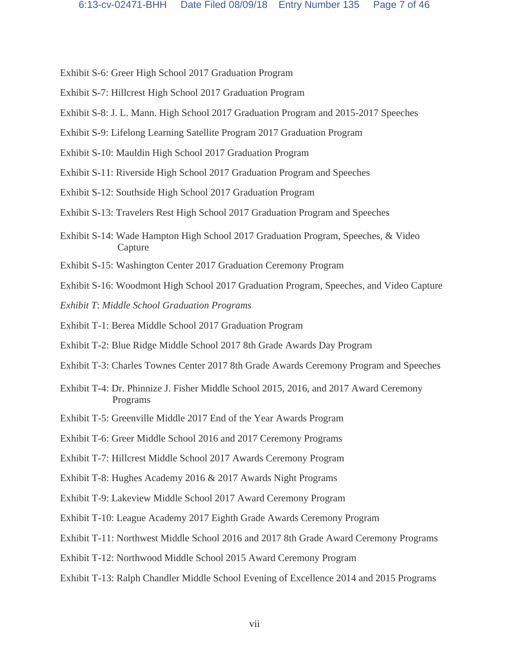- Exhibit S-6: Greer High School 2017 Graduation Program
- Exhibit S-7: Hillcrest High School 2017 Graduation Program
- Exhibit S-8: J. L. Mann. High School 2017 Graduation Program and 2015-2017 Speeches

Exhibit S-9: Lifelong Learning Satellite Program 2017 Graduation Program

- Exhibit S-10: Mauldin High School 2017 Graduation Program
- Exhibit S-11: Riverside High School 2017 Graduation Program and Speeches
- Exhibit S-12: Southside High School 2017 Graduation Program
- Exhibit S-13: Travelers Rest High School 2017 Graduation Program and Speeches
- Exhibit S-14: Wade Hampton High School 2017 Graduation Program, Speeches, & Video Capture
- Exhibit S-15: Washington Center 2017 Graduation Ceremony Program
- Exhibit S-16: Woodmont High School 2017 Graduation Program, Speeches, and Video Capture
- *Exhibit T*: *Middle School Graduation Programs*
- Exhibit T-1: Berea Middle School 2017 Graduation Program
- Exhibit T-2: Blue Ridge Middle School 2017 8th Grade Awards Day Program
- Exhibit T-3: Charles Townes Center 2017 8th Grade Awards Ceremony Program and Speeches
- Exhibit T-4: Dr. Phinnize J. Fisher Middle School 2015, 2016, and 2017 Award Ceremony Programs
- Exhibit T-5: Greenville Middle 2017 End of the Year Awards Program
- Exhibit T-6: Greer Middle School 2016 and 2017 Ceremony Programs
- Exhibit T-7: Hillcrest Middle School 2017 Awards Ceremony Program
- Exhibit T-8: Hughes Academy 2016 & 2017 Awards Night Programs
- Exhibit T-9: Lakeview Middle School 2017 Award Ceremony Program
- Exhibit T-10: League Academy 2017 Eighth Grade Awards Ceremony Program
- Exhibit T-11: Northwest Middle School 2016 and 2017 8th Grade Award Ceremony Programs
- Exhibit T-12: Northwood Middle School 2015 Award Ceremony Program
- Exhibit T-13: Ralph Chandler Middle School Evening of Excellence 2014 and 2015 Programs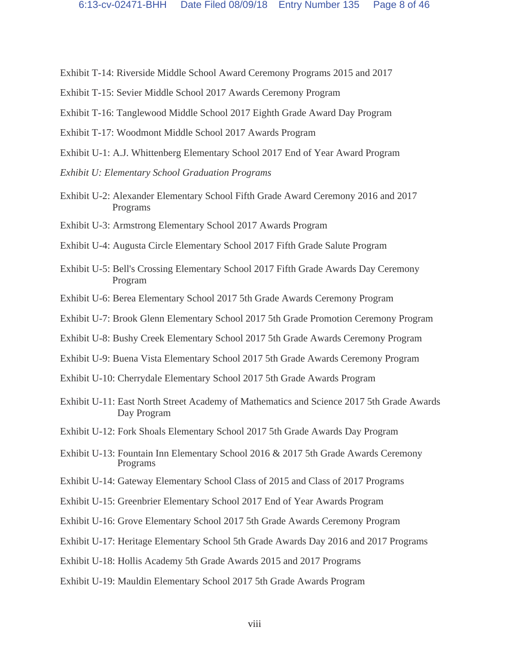Exhibit T-14: Riverside Middle School Award Ceremony Programs 2015 and 2017

- Exhibit T-15: Sevier Middle School 2017 Awards Ceremony Program
- Exhibit T-16: Tanglewood Middle School 2017 Eighth Grade Award Day Program
- Exhibit T-17: Woodmont Middle School 2017 Awards Program
- Exhibit U-1: A.J. Whittenberg Elementary School 2017 End of Year Award Program
- *Exhibit U: Elementary School Graduation Programs*
- Exhibit U-2: Alexander Elementary School Fifth Grade Award Ceremony 2016 and 2017 Programs
- Exhibit U-3: Armstrong Elementary School 2017 Awards Program
- Exhibit U-4: Augusta Circle Elementary School 2017 Fifth Grade Salute Program
- Exhibit U-5: Bell's Crossing Elementary School 2017 Fifth Grade Awards Day Ceremony Program
- Exhibit U-6: Berea Elementary School 2017 5th Grade Awards Ceremony Program
- Exhibit U-7: Brook Glenn Elementary School 2017 5th Grade Promotion Ceremony Program
- Exhibit U-8: Bushy Creek Elementary School 2017 5th Grade Awards Ceremony Program
- Exhibit U-9: Buena Vista Elementary School 2017 5th Grade Awards Ceremony Program
- Exhibit U-10: Cherrydale Elementary School 2017 5th Grade Awards Program
- Exhibit U-11: East North Street Academy of Mathematics and Science 2017 5th Grade Awards Day Program
- Exhibit U-12: Fork Shoals Elementary School 2017 5th Grade Awards Day Program
- Exhibit U-13: Fountain Inn Elementary School 2016 & 2017 5th Grade Awards Ceremony Programs
- Exhibit U-14: Gateway Elementary School Class of 2015 and Class of 2017 Programs
- Exhibit U-15: Greenbrier Elementary School 2017 End of Year Awards Program
- Exhibit U-16: Grove Elementary School 2017 5th Grade Awards Ceremony Program
- Exhibit U-17: Heritage Elementary School 5th Grade Awards Day 2016 and 2017 Programs
- Exhibit U-18: Hollis Academy 5th Grade Awards 2015 and 2017 Programs
- Exhibit U-19: Mauldin Elementary School 2017 5th Grade Awards Program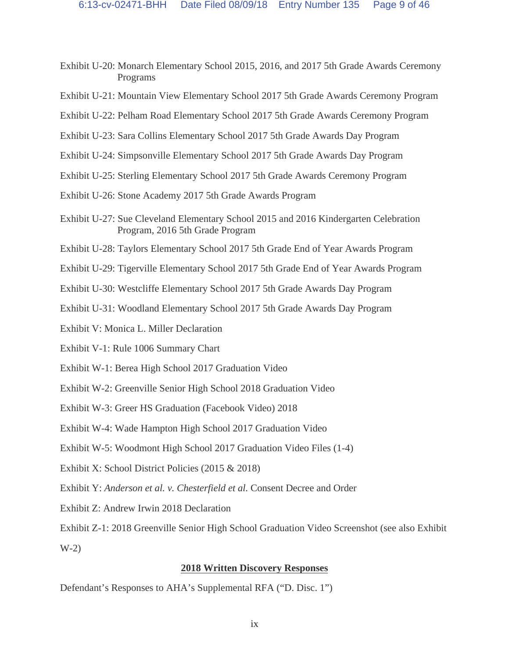- Exhibit U-20: Monarch Elementary School 2015, 2016, and 2017 5th Grade Awards Ceremony Programs
- Exhibit U-21: Mountain View Elementary School 2017 5th Grade Awards Ceremony Program
- Exhibit U-22: Pelham Road Elementary School 2017 5th Grade Awards Ceremony Program
- Exhibit U-23: Sara Collins Elementary School 2017 5th Grade Awards Day Program
- Exhibit U-24: Simpsonville Elementary School 2017 5th Grade Awards Day Program
- Exhibit U-25: Sterling Elementary School 2017 5th Grade Awards Ceremony Program
- Exhibit U-26: Stone Academy 2017 5th Grade Awards Program
- Exhibit U-27: Sue Cleveland Elementary School 2015 and 2016 Kindergarten Celebration Program, 2016 5th Grade Program
- Exhibit U-28: Taylors Elementary School 2017 5th Grade End of Year Awards Program
- Exhibit U-29: Tigerville Elementary School 2017 5th Grade End of Year Awards Program
- Exhibit U-30: Westcliffe Elementary School 2017 5th Grade Awards Day Program
- Exhibit U-31: Woodland Elementary School 2017 5th Grade Awards Day Program
- Exhibit V: Monica L. Miller Declaration
- Exhibit V-1: Rule 1006 Summary Chart
- Exhibit W-1: Berea High School 2017 Graduation Video
- Exhibit W-2: Greenville Senior High School 2018 Graduation Video
- Exhibit W-3: Greer HS Graduation (Facebook Video) 2018
- Exhibit W-4: Wade Hampton High School 2017 Graduation Video
- Exhibit W-5: Woodmont High School 2017 Graduation Video Files (1-4)
- Exhibit X: School District Policies (2015 & 2018)
- Exhibit Y: *Anderson et al. v. Chesterfield et al.* Consent Decree and Order
- Exhibit Z: Andrew Irwin 2018 Declaration
- Exhibit Z-1: 2018 Greenville Senior High School Graduation Video Screenshot (see also Exhibit  $W-2)$

# **2018 Written Discovery Responses**

Defendant's Responses to AHA's Supplemental RFA ("D. Disc. 1")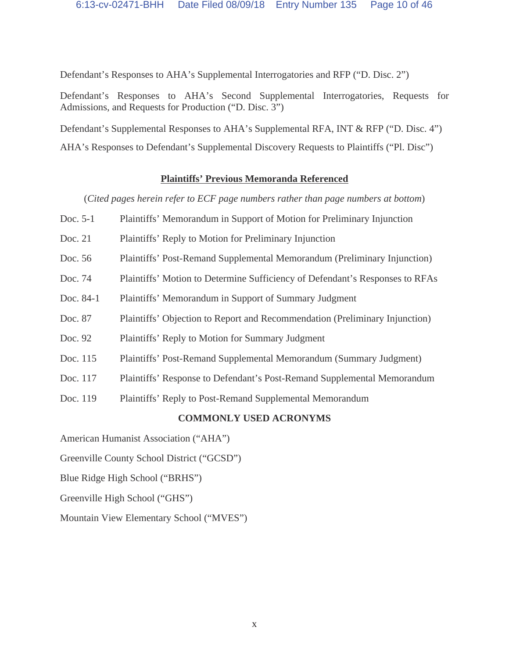Defendant's Responses to AHA's Supplemental Interrogatories and RFP ("D. Disc. 2")

Defendant's Responses to AHA's Second Supplemental Interrogatories, Requests for Admissions, and Requests for Production ("D. Disc. 3")

Defendant's Supplemental Responses to AHA's Supplemental RFA, INT & RFP ("D. Disc. 4")

AHA's Responses to Defendant's Supplemental Discovery Requests to Plaintiffs ("Pl. Disc")

# **Plaintiffs' Previous Memoranda Referenced**

(*Cited pages herein refer to ECF page numbers rather than page numbers at bottom*)

- Doc. 5-1 Plaintiffs' Memorandum in Support of Motion for Preliminary Injunction
- Doc. 21 Plaintiffs' Reply to Motion for Preliminary Injunction
- Doc. 56 Plaintiffs' Post-Remand Supplemental Memorandum (Preliminary Injunction)
- Doc. 74 Plaintiffs' Motion to Determine Sufficiency of Defendant's Responses to RFAs
- Doc. 84-1 Plaintiffs' Memorandum in Support of Summary Judgment
- Doc. 87 Plaintiffs' Objection to Report and Recommendation (Preliminary Injunction)
- Doc. 92 Plaintiffs' Reply to Motion for Summary Judgment
- Doc. 115 Plaintiffs' Post-Remand Supplemental Memorandum (Summary Judgment)
- Doc. 117 Plaintiffs' Response to Defendant's Post-Remand Supplemental Memorandum
- Doc. 119 Plaintiffs' Reply to Post-Remand Supplemental Memorandum

# **COMMONLY USED ACRONYMS**

American Humanist Association ("AHA")

Greenville County School District ("GCSD")

- Blue Ridge High School ("BRHS")
- Greenville High School ("GHS")

Mountain View Elementary School ("MVES")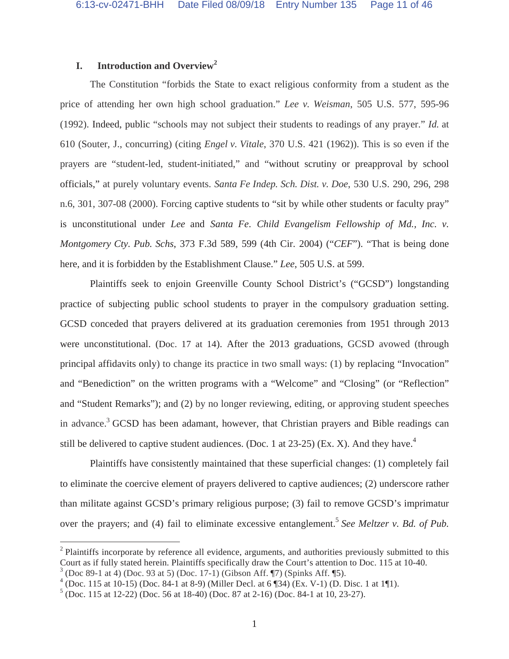# **I. Introduction and Overview<sup>2</sup>**

The Constitution "forbids the State to exact religious conformity from a student as the price of attending her own high school graduation." *Lee v. Weisman*, 505 U.S. 577, 595-96 (1992). Indeed, public "schools may not subject their students to readings of any prayer." *Id.* at 610 (Souter, J., concurring) (citing *Engel v. Vitale*, 370 U.S. 421 (1962)). This is so even if the prayers are "student-led, student-initiated," and "without scrutiny or preapproval by school officials," at purely voluntary events. *Santa Fe Indep. Sch. Dist. v. Doe*, 530 U.S. 290, 296, 298 n.6, 301, 307-08 (2000). Forcing captive students to "sit by while other students or faculty pray" is unconstitutional under *Lee* and *Santa Fe*. *Child Evangelism Fellowship of Md., Inc. v. Montgomery Cty. Pub. Schs*, 373 F.3d 589, 599 (4th Cir. 2004) ("*CEF*"). "That is being done here, and it is forbidden by the Establishment Clause." *Lee*, 505 U.S. at 599.

Plaintiffs seek to enjoin Greenville County School District's ("GCSD") longstanding practice of subjecting public school students to prayer in the compulsory graduation setting. GCSD conceded that prayers delivered at its graduation ceremonies from 1951 through 2013 were unconstitutional. (Doc. 17 at 14). After the 2013 graduations, GCSD avowed (through principal affidavits only) to change its practice in two small ways: (1) by replacing "Invocation" and "Benediction" on the written programs with a "Welcome" and "Closing" (or "Reflection" and "Student Remarks"); and (2) by no longer reviewing, editing, or approving student speeches in advance.<sup>3</sup> GCSD has been adamant, however, that Christian prayers and Bible readings can still be delivered to captive student audiences. (Doc. 1 at  $23-25$ ) (Ex. X). And they have.<sup>4</sup>

Plaintiffs have consistently maintained that these superficial changes: (1) completely fail to eliminate the coercive element of prayers delivered to captive audiences; (2) underscore rather than militate against GCSD's primary religious purpose; (3) fail to remove GCSD's imprimatur over the prayers; and (4) fail to eliminate excessive entanglement.<sup>5</sup> See Meltzer v. Bd. of Pub.

<sup>&</sup>lt;sup>2</sup> Plaintiffs incorporate by reference all evidence, arguments, and authorities previously submitted to this Court as if fully stated herein. Plaintiffs specifically draw the Court's attention to Doc. 115 at 10-40. (Doc 89-1 at 4) (Doc. 93 at 5) (Doc. 17-1) (Gibson Aff. ¶7) (Spinks Aff. ¶5). <sup>4</sup>

 $4$  (Doc. 115 at 10-15) (Doc. 84-1 at 8-9) (Miller Decl. at 6 ¶34) (Ex. V-1) (D. Disc. 1 at 1¶1).

 $<sup>5</sup>$  (Doc. 115 at 12-22) (Doc. 56 at 18-40) (Doc. 87 at 2-16) (Doc. 84-1 at 10, 23-27).</sup>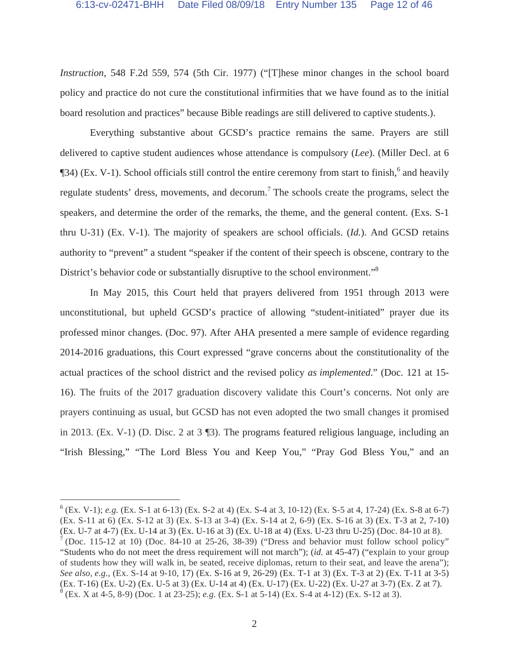*Instruction*, 548 F.2d 559, 574 (5th Cir. 1977) ("[T]hese minor changes in the school board policy and practice do not cure the constitutional infirmities that we have found as to the initial board resolution and practices" because Bible readings are still delivered to captive students.).

Everything substantive about GCSD's practice remains the same. Prayers are still delivered to captive student audiences whose attendance is compulsory (*Lee*). (Miller Decl. at 6  $\P$ 34) (Ex. V-1). School officials still control the entire ceremony from start to finish,<sup>6</sup> and heavily regulate students' dress, movements, and decorum.<sup>7</sup> The schools create the programs, select the speakers, and determine the order of the remarks, the theme, and the general content. (Exs. S-1 thru U-31) (Ex. V-1). The majority of speakers are school officials. (*Id.*). And GCSD retains authority to "prevent" a student "speaker if the content of their speech is obscene, contrary to the District's behavior code or substantially disruptive to the school environment."<sup>8</sup>

In May 2015, this Court held that prayers delivered from 1951 through 2013 were unconstitutional, but upheld GCSD's practice of allowing "student-initiated" prayer due its professed minor changes. (Doc. 97). After AHA presented a mere sample of evidence regarding 2014-2016 graduations, this Court expressed "grave concerns about the constitutionality of the actual practices of the school district and the revised policy *as implemented*." (Doc. 121 at 15- 16). The fruits of the 2017 graduation discovery validate this Court's concerns. Not only are prayers continuing as usual, but GCSD has not even adopted the two small changes it promised in 2013. (Ex. V-1) (D. Disc. 2 at 3 ¶3). The programs featured religious language, including an "Irish Blessing," "The Lord Bless You and Keep You," "Pray God Bless You," and an

 $^{6}$  (Ex. V-1); *e.g.* (Ex. S-1 at 6-13) (Ex. S-2 at 4) (Ex. S-4 at 3, 10-12) (Ex. S-5 at 4, 17-24) (Ex. S-8 at 6-7) (Ex. S-11 at 6) (Ex. S-12 at 3) (Ex. S-13 at 3-4) (Ex. S-14 at 2, 6-9) (Ex. S-16 at 3) (Ex. T-3 at 2, 7-10) (Ex. U-7 at 4-7) (Ex. U-14 at 3) (Ex. U-16 at 3) (Ex. U-18 at 4) (Exs. U-23 thru U-25) (Doc. 84-10 at 8).

 $<sup>7</sup>$  (Doc. 115-12 at 10) (Doc. 84-10 at 25-26, 38-39) ("Dress and behavior must follow school policy"</sup> "Students who do not meet the dress requirement will not march"); (*id.* at 45-47) ("explain to your group of students how they will walk in, be seated, receive diplomas, return to their seat, and leave the arena"); *See also, e.g.*, (Ex. S-14 at 9-10, 17) (Ex. S-16 at 9, 26-29) (Ex. T-1 at 3) (Ex. T-3 at 2) (Ex. T-11 at 3-5) (Ex. T-16) (Ex. U-2) (Ex. U-5 at 3) (Ex. U-14 at 4) (Ex. U-17) (Ex. U-22) (Ex. U-27 at 3-7) (Ex. Z at 7). <sup>8</sup> (Ex. X at 4-5, 8-9) (Doc. 1 at 23-25); *e.g.* (Ex. S-1 at 5-14) (Ex. S-4 at 4-12) (Ex. S-12 at 3).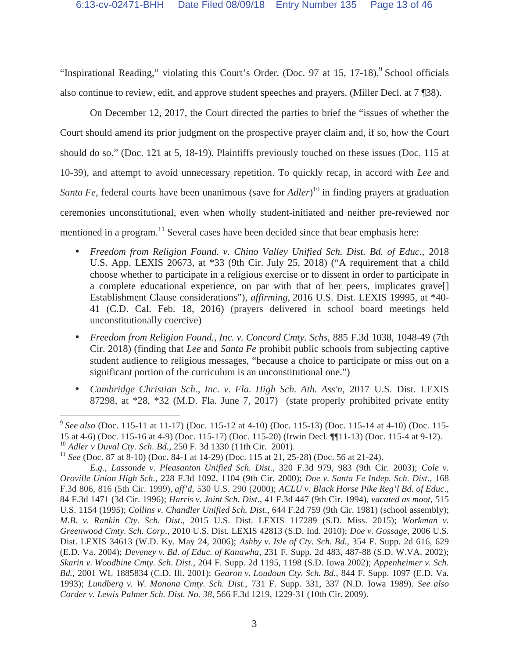"Inspirational Reading," violating this Court's Order. (Doc. 97 at 15, 17-18).<sup>9</sup> School officials also continue to review, edit, and approve student speeches and prayers. (Miller Decl. at 7 ¶38).

On December 12, 2017, the Court directed the parties to brief the "issues of whether the Court should amend its prior judgment on the prospective prayer claim and, if so, how the Court should do so." (Doc. 121 at 5, 18-19). Plaintiffs previously touched on these issues (Doc. 115 at 10-39), and attempt to avoid unnecessary repetition. To quickly recap, in accord with *Lee* and *Santa Fe*, federal courts have been unanimous (save for *Adler*) 10 in finding prayers at graduation ceremonies unconstitutional, even when wholly student-initiated and neither pre-reviewed nor mentioned in a program.<sup>11</sup> Several cases have been decided since that bear emphasis here:

- *Freedom from Religion Found. v. Chino Valley Unified Sch. Dist. Bd. of Educ*., 2018 U.S. App. LEXIS 20673, at \*33 (9th Cir. July 25, 2018) ("A requirement that a child choose whether to participate in a religious exercise or to dissent in order to participate in a complete educational experience, on par with that of her peers, implicates grave[] Establishment Clause considerations"), *affirming*, 2016 U.S. Dist. LEXIS 19995, at \*40- 41 (C.D. Cal. Feb. 18, 2016) (prayers delivered in school board meetings held unconstitutionally coercive)
- *Freedom from Religion Found., Inc. v. Concord Cmty. Schs*, 885 F.3d 1038, 1048-49 (7th Cir. 2018) (finding that *Lee* and *Santa Fe* prohibit public schools from subjecting captive student audience to religious messages, "because a choice to participate or miss out on a significant portion of the curriculum is an unconstitutional one.")
- *Cambridge Christian Sch., Inc. v. Fla. High Sch. Ath. Ass'n*, 2017 U.S. Dist. LEXIS 87298, at \*28, \*32 (M.D. Fla. June 7, 2017) (state properly prohibited private entity

 $\overline{a}$ <sup>9</sup> *See also* (Doc. 115-11 at 11-17) (Doc. 115-12 at 4-10) (Doc. 115-13) (Doc. 115-14 at 4-10) (Doc. 115- 15 at 4-6) (Doc. 115-16 at 4-9) (Doc. 115-17) (Doc. 115-20) (Irwin Decl. ¶¶11-13) (Doc. 115-4 at 9-12). 10 *Adler v Duval Cty. Sch. Bd.*, 250 F. 3d 1330 (11th Cir. 2001).

<sup>11</sup> *See* (Doc. 87 at 8-10) (Doc. 84-1 at 14-29) (Doc. 115 at 21, 25-28) (Doc. 56 at 21-24).

*E.g.*, *Lassonde v. Pleasanton Unified Sch. Dist.*, 320 F.3d 979, 983 (9th Cir. 2003); *Cole v. Oroville Union High Sch.*, 228 F.3d 1092, 1104 (9th Cir. 2000); *Doe v. Santa Fe Indep. Sch. Dist*., 168 F.3d 806, 816 (5th Cir. 1999), *aff'd*, 530 U.S. 290 (2000); *ACLU v. Black Horse Pike Reg'l Bd. of Educ*., 84 F.3d 1471 (3d Cir. 1996); *Harris v. Joint Sch. Dist.*, 41 F.3d 447 (9th Cir. 1994), *vacated as moot*, 515 U.S. 1154 (1995); *Collins v. Chandler Unified Sch. Dist*., 644 F.2d 759 (9th Cir. 1981) (school assembly); *M.B. v. Rankin Cty. Sch. Dist*., 2015 U.S. Dist. LEXIS 117289 (S.D. Miss. 2015); *Workman v. Greenwood Cmty. Sch. Corp*., 2010 U.S. Dist. LEXIS 42813 (S.D. Ind. 2010); *Doe v. Gossage*, 2006 U.S. Dist. LEXIS 34613 (W.D. Ky. May 24, 2006); *Ashby v. Isle of Cty. Sch. Bd.*, 354 F. Supp. 2d 616, 629 (E.D. Va. 2004); *Deveney v. Bd. of Educ. of Kanawha*, 231 F. Supp. 2d 483, 487-88 (S.D. W.VA. 2002); *Skarin v. Woodbine Cmty. Sch. Dist*., 204 F. Supp. 2d 1195, 1198 (S.D. Iowa 2002); *Appenheimer v. Sch. Bd.*, 2001 WL 1885834 (C.D. Ill. 2001); *Gearon v. Loudoun Cty. Sch. Bd.*, 844 F. Supp. 1097 (E.D. Va. 1993); *Lundberg v. W. Monona Cmty. Sch. Dist.*, 731 F. Supp. 331, 337 (N.D. Iowa 1989). *See also Corder v. Lewis Palmer Sch. Dist. No. 38*, 566 F.3d 1219, 1229-31 (10th Cir. 2009).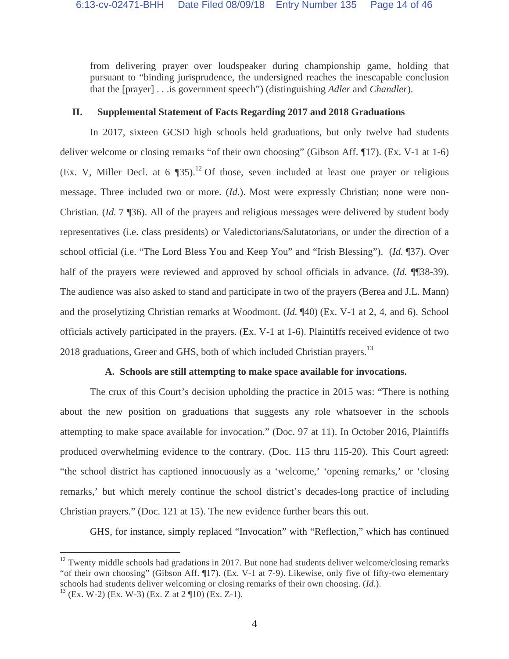from delivering prayer over loudspeaker during championship game, holding that pursuant to "binding jurisprudence, the undersigned reaches the inescapable conclusion that the [prayer] . . .is government speech") (distinguishing *Adler* and *Chandler*).

#### **II. Supplemental Statement of Facts Regarding 2017 and 2018 Graduations**

In 2017, sixteen GCSD high schools held graduations, but only twelve had students deliver welcome or closing remarks "of their own choosing" (Gibson Aff. ¶17). (Ex. V-1 at 1-6) (Ex. V, Miller Decl. at 6  $$35)$ .<sup>12</sup> Of those, seven included at least one prayer or religious message. Three included two or more. (*Id.*). Most were expressly Christian; none were non-Christian. (*Id.* 7 ¶36). All of the prayers and religious messages were delivered by student body representatives (i.e. class presidents) or Valedictorians/Salutatorians, or under the direction of a school official (i.e. "The Lord Bless You and Keep You" and "Irish Blessing"). (*Id.* ¶37). Over half of the prayers were reviewed and approved by school officials in advance. (*Id.* ¶¶38-39). The audience was also asked to stand and participate in two of the prayers (Berea and J.L. Mann) and the proselytizing Christian remarks at Woodmont. (*Id.* ¶40) (Ex. V-1 at 2, 4, and 6). School officials actively participated in the prayers. (Ex. V-1 at 1-6). Plaintiffs received evidence of two 2018 graduations, Greer and GHS, both of which included Christian prayers.<sup>13</sup>

## **A. Schools are still attempting to make space available for invocations.**

The crux of this Court's decision upholding the practice in 2015 was: "There is nothing about the new position on graduations that suggests any role whatsoever in the schools attempting to make space available for invocation." (Doc. 97 at 11). In October 2016, Plaintiffs produced overwhelming evidence to the contrary. (Doc. 115 thru 115-20). This Court agreed: "the school district has captioned innocuously as a 'welcome,' 'opening remarks,' or 'closing remarks,' but which merely continue the school district's decades-long practice of including Christian prayers." (Doc. 121 at 15). The new evidence further bears this out.

GHS, for instance, simply replaced "Invocation" with "Reflection," which has continued

 $12$  Twenty middle schools had gradations in 2017. But none had students deliver welcome/closing remarks "of their own choosing" (Gibson Aff. ¶17). (Ex. V-1 at 7-9). Likewise, only five of fifty-two elementary schools had students deliver welcoming or closing remarks of their own choosing. (*Id.*).

 $13$  (Ex. W-2) (Ex. W-3) (Ex. Z at 2  $\P$ 10) (Ex. Z-1).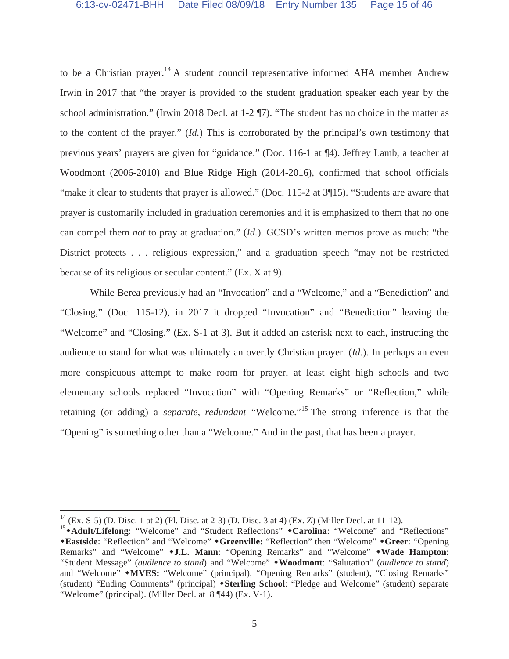to be a Christian prayer.<sup>14</sup> A student council representative informed AHA member Andrew Irwin in 2017 that "the prayer is provided to the student graduation speaker each year by the school administration." (Irwin 2018 Decl. at 1-2 ¶7). "The student has no choice in the matter as to the content of the prayer." (*Id.*) This is corroborated by the principal's own testimony that previous years' prayers are given for "guidance." (Doc. 116-1 at ¶4). Jeffrey Lamb, a teacher at Woodmont (2006-2010) and Blue Ridge High (2014-2016), confirmed that school officials "make it clear to students that prayer is allowed." (Doc. 115-2 at 3\[15). "Students are aware that prayer is customarily included in graduation ceremonies and it is emphasized to them that no one can compel them *not* to pray at graduation." (*Id.*). GCSD's written memos prove as much: "the District protects . . . religious expression," and a graduation speech "may not be restricted because of its religious or secular content." (Ex. X at 9).

While Berea previously had an "Invocation" and a "Welcome," and a "Benediction" and "Closing," (Doc. 115-12), in 2017 it dropped "Invocation" and "Benediction" leaving the "Welcome" and "Closing." (Ex. S-1 at 3). But it added an asterisk next to each, instructing the audience to stand for what was ultimately an overtly Christian prayer. (*Id*.). In perhaps an even more conspicuous attempt to make room for prayer, at least eight high schools and two elementary schools replaced "Invocation" with "Opening Remarks" or "Reflection," while retaining (or adding) a *separate, redundant* "Welcome."15 The strong inference is that the "Opening" is something other than a "Welcome." And in the past, that has been a prayer.

 $14$  (Ex. S-5) (D. Disc. 1 at 2) (Pl. Disc. at 2-3) (D. Disc. 3 at 4) (Ex. Z) (Miller Decl. at 11-12).

<sup>&</sup>lt;sup>15</sup>\*Adult/Lifelong: "Welcome" and "Student Reflections" \*Carolina: "Welcome" and "Reflections" -**Eastside**: "Reflection" and "Welcome" -**Greenville:** "Reflection" then "Welcome" -**Greer**: "Opening Remarks" and "Welcome" -**J.L. Mann**: "Opening Remarks" and "Welcome" -**Wade Hampton**: "Student Message" (*audience to stand*) and "Welcome" -**Woodmont**: "Salutation" (*audience to stand*) and "Welcome" **\*MVES:** "Welcome" (principal), "Opening Remarks" (student), "Closing Remarks" (student) "Ending Comments" (principal) -**Sterling School**: "Pledge and Welcome" (student) separate "Welcome" (principal). (Miller Decl. at 8 ¶44) (Ex. V-1).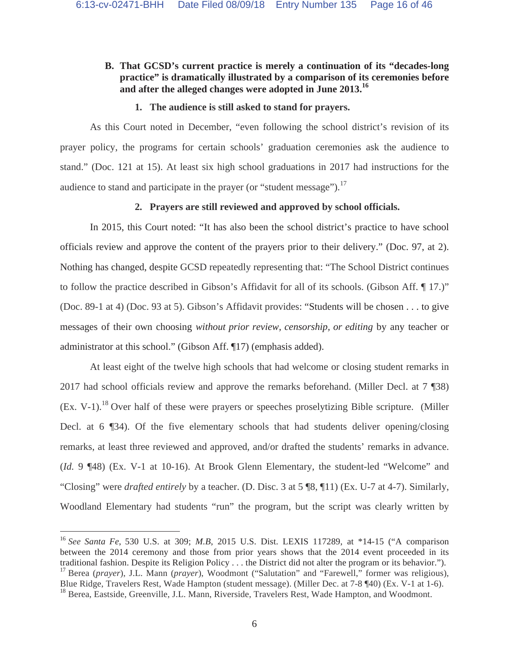# **B. That GCSD's current practice is merely a continuation of its "decades-long practice" is dramatically illustrated by a comparison of its ceremonies before and after the alleged changes were adopted in June 2013.16**

## **1. The audience is still asked to stand for prayers.**

As this Court noted in December, "even following the school district's revision of its prayer policy, the programs for certain schools' graduation ceremonies ask the audience to stand." (Doc. 121 at 15). At least six high school graduations in 2017 had instructions for the audience to stand and participate in the prayer (or "student message"). $^{17}$ 

## **2. Prayers are still reviewed and approved by school officials.**

In 2015, this Court noted: "It has also been the school district's practice to have school officials review and approve the content of the prayers prior to their delivery." (Doc. 97, at 2). Nothing has changed, despite GCSD repeatedly representing that: "The School District continues to follow the practice described in Gibson's Affidavit for all of its schools. (Gibson Aff. ¶ 17.)" (Doc. 89-1 at 4) (Doc. 93 at 5). Gibson's Affidavit provides: "Students will be chosen . . . to give messages of their own choosing *without prior review, censorship, or editing* by any teacher or administrator at this school." (Gibson Aff. ¶17) (emphasis added).

At least eight of the twelve high schools that had welcome or closing student remarks in 2017 had school officials review and approve the remarks beforehand. (Miller Decl. at 7 ¶38)  $(Ex. V-1).$ <sup>18</sup> Over half of these were prayers or speeches proselytizing Bible scripture. (Miller Decl. at 6 ¶34). Of the five elementary schools that had students deliver opening/closing remarks, at least three reviewed and approved, and/or drafted the students' remarks in advance. (*Id.* 9 ¶48) (Ex. V-1 at 10-16). At Brook Glenn Elementary, the student-led "Welcome" and "Closing" were *drafted entirely* by a teacher. (D. Disc. 3 at 5 ¶8, ¶11) (Ex. U-7 at 4-7). Similarly, Woodland Elementary had students "run" the program, but the script was clearly written by

<sup>16</sup> *See Santa Fe*, 530 U.S. at 309; *M.B*, 2015 U.S. Dist. LEXIS 117289, at \*14-15 ("A comparison between the 2014 ceremony and those from prior years shows that the 2014 event proceeded in its traditional fashion. Despite its Religion Policy . . . the District did not alter the program or its behavior."). <sup>17</sup> Berea (*prayer*), J.L. Mann (*prayer*), Woodmont ("Salutation" and "Farewell," former was religious), Blue Ridge, Travelers Rest, Wade Hampton (student message). (Miller Dec. at 7-8 ¶40) (Ex. V-1 at 1-6). <sup>18</sup> Berea, Eastside, Greenville, J.L. Mann, Riverside, Travelers Rest, Wade Hampton, and Woodmont.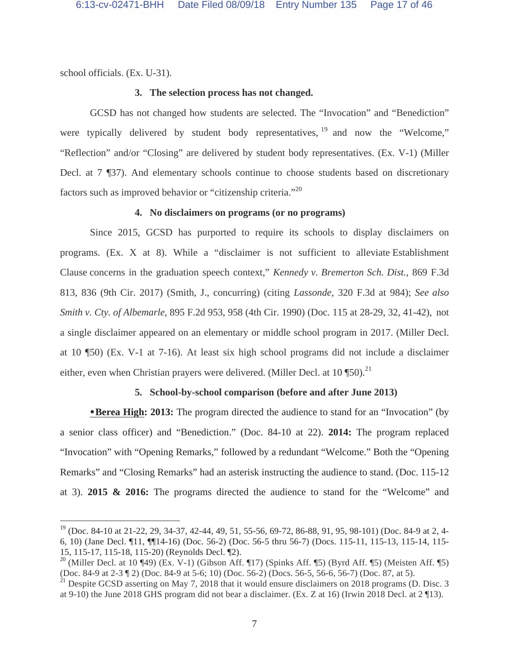school officials. (Ex. U-31).

 $\overline{a}$ 

#### **3. The selection process has not changed.**

GCSD has not changed how students are selected. The "Invocation" and "Benediction" were typically delivered by student body representatives, <sup>19</sup> and now the "Welcome," "Reflection" and/or "Closing" are delivered by student body representatives. (Ex. V-1) (Miller Decl. at 7 ¶37). And elementary schools continue to choose students based on discretionary factors such as improved behavior or "citizenship criteria."<sup>20</sup>

# **4. No disclaimers on programs (or no programs)**

Since 2015, GCSD has purported to require its schools to display disclaimers on programs. (Ex. X at 8). While a "disclaimer is not sufficient to alleviate Establishment Clause concerns in the graduation speech context," *Kennedy v. Bremerton Sch. Dist.*, 869 F.3d 813, 836 (9th Cir. 2017) (Smith, J., concurring) (citing *Lassonde*, 320 F.3d at 984); *See also Smith v. Cty. of Albemarle*, 895 F.2d 953, 958 (4th Cir. 1990) (Doc. 115 at 28-29, 32, 41-42), not a single disclaimer appeared on an elementary or middle school program in 2017. (Miller Decl. at 10 ¶50) (Ex. V-1 at 7-16). At least six high school programs did not include a disclaimer either, even when Christian prayers were delivered. (Miller Decl. at  $10 \text{ } \frac{\text{m}}{\text{ }10}$ ).<sup>21</sup>

#### **5. School-by-school comparison (before and after June 2013)**

**Berea High: 2013:** The program directed the audience to stand for an "Invocation" (by a senior class officer) and "Benediction." (Doc. 84-10 at 22). **2014:** The program replaced "Invocation" with "Opening Remarks," followed by a redundant "Welcome." Both the "Opening Remarks" and "Closing Remarks" had an asterisk instructing the audience to stand. (Doc. 115-12 at 3). **2015 & 2016:** The programs directed the audience to stand for the "Welcome" and

 $19$  (Doc. 84-10 at 21-22, 29, 34-37, 42-44, 49, 51, 55-56, 69-72, 86-88, 91, 95, 98-101) (Doc. 84-9 at 2, 4-6, 10) (Jane Decl. ¶11, ¶¶14-16) (Doc. 56-2) (Doc. 56-5 thru 56-7) (Docs. 115-11, 115-13, 115-14, 115- 15, 115-17, 115-18, 115-20) (Reynolds Decl. ¶2).

<sup>&</sup>lt;sup>20</sup> (Miller Decl. at 10 ¶49) (Ex. V-1) (Gibson Aff. ¶17) (Spinks Aff. ¶5) (Byrd Aff. ¶5) (Meisten Aff. ¶5) (Doc. 84-9 at 2-3 ¶ 2) (Doc. 84-9 at 5-6; 10) (Doc. 56-2) (Docs. 56-5, 56-6, 56-7) (Doc. 87, at 5).

 $^{21}$  Despite GCSD asserting on May 7, 2018 that it would ensure disclaimers on 2018 programs (D. Disc. 3) at 9-10) the June 2018 GHS program did not bear a disclaimer. (Ex. Z at 16) (Irwin 2018 Decl. at 2 ¶13).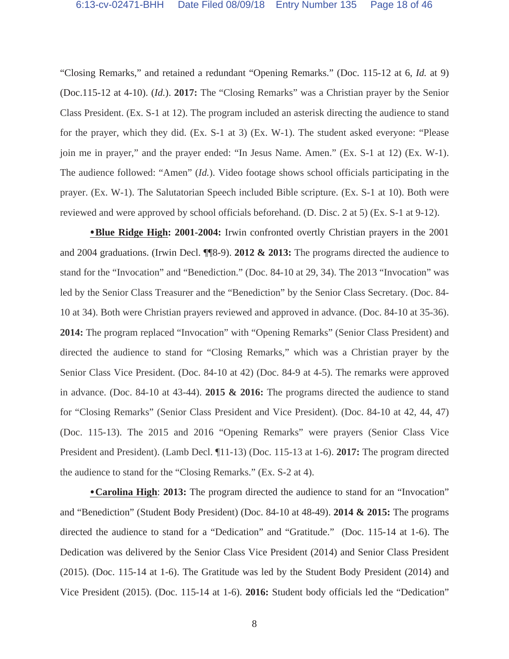"Closing Remarks," and retained a redundant "Opening Remarks." (Doc. 115-12 at 6, *Id.* at 9) (Doc.115-12 at 4-10). (*Id.*). **2017:** The "Closing Remarks" was a Christian prayer by the Senior Class President. (Ex. S-1 at 12). The program included an asterisk directing the audience to stand for the prayer, which they did. (Ex. S-1 at 3) (Ex. W-1). The student asked everyone: "Please join me in prayer," and the prayer ended: "In Jesus Name. Amen." (Ex. S-1 at 12) (Ex. W-1). The audience followed: "Amen" (*Id.*). Video footage shows school officials participating in the prayer. (Ex. W-1). The Salutatorian Speech included Bible scripture. (Ex. S-1 at 10). Both were reviewed and were approved by school officials beforehand. (D. Disc. 2 at 5) (Ex. S-1 at 9-12).

**Blue Ridge High: 2001-2004:** Irwin confronted overtly Christian prayers in the 2001 and 2004 graduations. (Irwin Decl. ¶¶8-9). **2012 & 2013:** The programs directed the audience to stand for the "Invocation" and "Benediction." (Doc. 84-10 at 29, 34). The 2013 "Invocation" was led by the Senior Class Treasurer and the "Benediction" by the Senior Class Secretary. (Doc. 84- 10 at 34). Both were Christian prayers reviewed and approved in advance. (Doc. 84-10 at 35-36). **2014:** The program replaced "Invocation" with "Opening Remarks" (Senior Class President) and directed the audience to stand for "Closing Remarks," which was a Christian prayer by the Senior Class Vice President. (Doc. 84-10 at 42) (Doc. 84-9 at 4-5). The remarks were approved in advance. (Doc. 84-10 at 43-44). **2015 & 2016:** The programs directed the audience to stand for "Closing Remarks" (Senior Class President and Vice President). (Doc. 84-10 at 42, 44, 47) (Doc. 115-13). The 2015 and 2016 "Opening Remarks" were prayers (Senior Class Vice President and President). (Lamb Decl. ¶11-13) (Doc. 115-13 at 1-6). **2017:** The program directed the audience to stand for the "Closing Remarks." (Ex. S-2 at 4).

**Carolina High**: **2013:** The program directed the audience to stand for an "Invocation" and "Benediction" (Student Body President) (Doc. 84-10 at 48-49). **2014 & 2015:** The programs directed the audience to stand for a "Dedication" and "Gratitude." (Doc. 115-14 at 1-6). The Dedication was delivered by the Senior Class Vice President (2014) and Senior Class President (2015). (Doc. 115-14 at 1-6). The Gratitude was led by the Student Body President (2014) and Vice President (2015). (Doc. 115-14 at 1-6). **2016:** Student body officials led the "Dedication"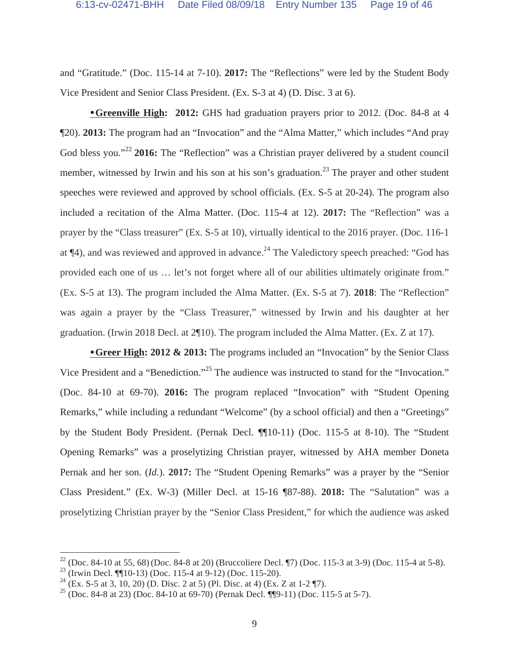and "Gratitude." (Doc. 115-14 at 7-10). **2017:** The "Reflections" were led by the Student Body Vice President and Senior Class President. (Ex. S-3 at 4) (D. Disc. 3 at 6).

**• Greenville High: 2012:** GHS had graduation prayers prior to 2012. (Doc. 84-8 at 4 ¶20). **2013:** The program had an "Invocation" and the "Alma Matter," which includes "And pray God bless you."<sup>22</sup> **2016:** The "Reflection" was a Christian prayer delivered by a student council member, witnessed by Irwin and his son at his son's graduation.<sup>23</sup> The prayer and other student speeches were reviewed and approved by school officials. (Ex. S-5 at 20-24). The program also included a recitation of the Alma Matter. (Doc. 115-4 at 12). **2017:** The "Reflection" was a prayer by the "Class treasurer" (Ex. S-5 at 10), virtually identical to the 2016 prayer. (Doc. 116-1 at  $\P$ 4), and was reviewed and approved in advance.<sup>24</sup> The Valedictory speech preached: "God has provided each one of us … let's not forget where all of our abilities ultimately originate from." (Ex. S-5 at 13). The program included the Alma Matter. (Ex. S-5 at 7). **2018**: The "Reflection" was again a prayer by the "Class Treasurer," witnessed by Irwin and his daughter at her graduation. (Irwin 2018 Decl. at 2¶10). The program included the Alma Matter. (Ex. Z at 17).

**Greer High: 2012 & 2013:** The programs included an "Invocation" by the Senior Class Vice President and a "Benediction."<sup>25</sup> The audience was instructed to stand for the "Invocation." (Doc. 84-10 at 69-70). **2016:** The program replaced "Invocation" with "Student Opening Remarks," while including a redundant "Welcome" (by a school official) and then a "Greetings" by the Student Body President. (Pernak Decl. ¶¶10-11) (Doc. 115-5 at 8-10). The "Student Opening Remarks" was a proselytizing Christian prayer, witnessed by AHA member Doneta Pernak and her son. (*Id.*). **2017:** The "Student Opening Remarks" was a prayer by the "Senior Class President." (Ex. W-3) (Miller Decl. at 15-16 ¶87-88). **2018:** The "Salutation" was a proselytizing Christian prayer by the "Senior Class President," for which the audience was asked

<sup>&</sup>lt;sup>22</sup> (Doc. 84-10 at 55, 68) (Doc. 84-8 at 20) (Bruccoliere Decl. ¶7) (Doc. 115-3 at 3-9) (Doc. 115-4 at 5-8).

<sup>&</sup>lt;sup>23</sup> (Irwin Decl. ¶¶10-13) (Doc. 115-4 at 9-12) (Doc. 115-20).

<sup>&</sup>lt;sup>24</sup> (Ex. S-5 at 3, 10, 20) (D. Disc. 2 at 5) (Pl. Disc. at 4) (Ex. Z at 1-2 \left).

<sup>&</sup>lt;sup>25</sup> (Doc. 84-8 at 23) (Doc. 84-10 at 69-70) (Pernak Decl. ¶¶9-11) (Doc. 115-5 at 5-7).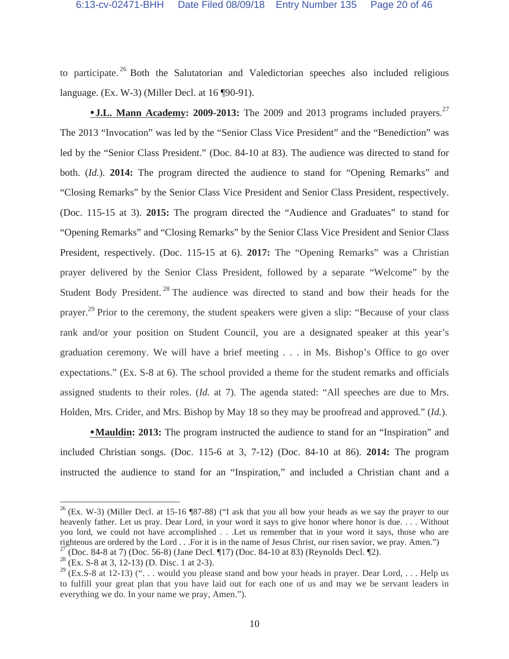to participate.<sup>26</sup> Both the Salutatorian and Valedictorian speeches also included religious language. (Ex. W-3) (Miller Decl. at 16 ¶90-91).

**J.L. Mann Academy: 2009-2013:** The 2009 and 2013 programs included prayers.<sup>27</sup> The 2013 "Invocation" was led by the "Senior Class Vice President" and the "Benediction" was led by the "Senior Class President." (Doc. 84-10 at 83). The audience was directed to stand for both. (*Id.*). **2014:** The program directed the audience to stand for "Opening Remarks" and "Closing Remarks" by the Senior Class Vice President and Senior Class President, respectively. (Doc. 115-15 at 3). **2015:** The program directed the "Audience and Graduates" to stand for "Opening Remarks" and "Closing Remarks" by the Senior Class Vice President and Senior Class President, respectively. (Doc. 115-15 at 6). **2017:** The "Opening Remarks" was a Christian prayer delivered by the Senior Class President, followed by a separate "Welcome" by the Student Body President.<sup>28</sup> The audience was directed to stand and bow their heads for the prayer.<sup>29</sup> Prior to the ceremony, the student speakers were given a slip: "Because of your class" rank and/or your position on Student Council, you are a designated speaker at this year's graduation ceremony. We will have a brief meeting . . . in Ms. Bishop's Office to go over expectations." (Ex. S-8 at 6). The school provided a theme for the student remarks and officials assigned students to their roles. (*Id.* at 7). The agenda stated: "All speeches are due to Mrs. Holden, Mrs. Crider, and Mrs. Bishop by May 18 so they may be proofread and approved*.*" (*Id.*).

**Mauldin: 2013:** The program instructed the audience to stand for an "Inspiration" and included Christian songs. (Doc. 115-6 at 3, 7-12) (Doc. 84-10 at 86). **2014:** The program instructed the audience to stand for an "Inspiration," and included a Christian chant and a

 $26$  (Ex. W-3) (Miller Decl. at 15-16 ¶87-88) ("I ask that you all bow your heads as we say the prayer to our heavenly father. Let us pray. Dear Lord, in your word it says to give honor where honor is due. . . . Without you lord, we could not have accomplished . . .Let us remember that in your word it says, those who are righteous are ordered by the Lord . . .For it is in the name of Jesus Christ, our risen savior, we pray. Amen.")

<sup>&</sup>lt;sup>27</sup> (Doc. 84-8 at 7) (Doc. 56-8) (Jane Decl. ¶17) (Doc. 84-10 at 83) (Reynolds Decl. ¶2).

 $28$  (Ex. S-8 at 3, 12-13) (D. Disc. 1 at 2-3).

<sup>&</sup>lt;sup>29</sup> (Ex.S-8 at 12-13) (" $\dots$  would you please stand and bow your heads in prayer. Dear Lord,  $\dots$  Help us to fulfill your great plan that you have laid out for each one of us and may we be servant leaders in everything we do. In your name we pray, Amen.").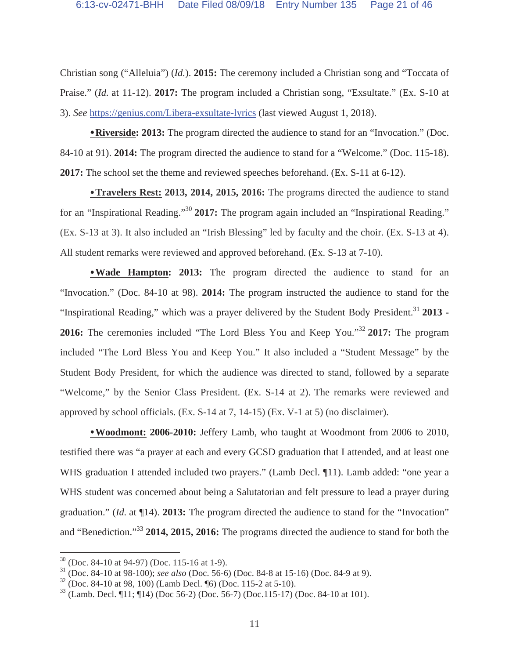Christian song ("Alleluia") (*Id.*). **2015:** The ceremony included a Christian song and "Toccata of Praise." (*Id.* at 11-12). **2017:** The program included a Christian song, "Exsultate." (Ex. S-10 at 3). *See* https://genius.com/Libera-exsultate-lyrics (last viewed August 1, 2018).

**Riverside: 2013:** The program directed the audience to stand for an "Invocation." (Doc. 84-10 at 91). **2014:** The program directed the audience to stand for a "Welcome." (Doc. 115-18). **2017:** The school set the theme and reviewed speeches beforehand. (Ex. S-11 at 6-12).

**Travelers Rest: 2013, 2014, 2015, 2016:** The programs directed the audience to stand for an "Inspirational Reading."30 **2017:** The program again included an "Inspirational Reading." (Ex. S-13 at 3). It also included an "Irish Blessing" led by faculty and the choir. (Ex. S-13 at 4). All student remarks were reviewed and approved beforehand. (Ex. S-13 at 7-10).

**Wade Hampton: 2013:** The program directed the audience to stand for an "Invocation." (Doc. 84-10 at 98). **2014:** The program instructed the audience to stand for the "Inspirational Reading," which was a prayer delivered by the Student Body President.31 **2013 - 2016:** The ceremonies included "The Lord Bless You and Keep You."<sup>32</sup> **2017:** The program included "The Lord Bless You and Keep You." It also included a "Student Message" by the Student Body President, for which the audience was directed to stand, followed by a separate "Welcome," by the Senior Class President. (Ex. S-14 at 2). The remarks were reviewed and approved by school officials. (Ex. S-14 at 7, 14-15) (Ex. V-1 at 5) (no disclaimer).

**Woodmont: 2006-2010:** Jeffery Lamb, who taught at Woodmont from 2006 to 2010, testified there was "a prayer at each and every GCSD graduation that I attended, and at least one WHS graduation I attended included two prayers." (Lamb Decl. 11). Lamb added: "one year a WHS student was concerned about being a Salutatorian and felt pressure to lead a prayer during graduation." (*Id.* at ¶14). **2013:** The program directed the audience to stand for the "Invocation" and "Benediction."33 **2014, 2015, 2016:** The programs directed the audience to stand for both the

 $30$  (Doc. 84-10 at 94-97) (Doc. 115-16 at 1-9).

<sup>31 (</sup>Doc. 84-10 at 98-100); *see also* (Doc. 56-6) (Doc. 84-8 at 15-16) (Doc. 84-9 at 9).

 $32$  (Doc. 84-10 at 98, 100) (Lamb Decl. [6] (Doc. 115-2 at 5-10).

 $33$  (Lamb. Decl. ¶11; ¶14) (Doc 56-2) (Doc. 56-7) (Doc.115-17) (Doc. 84-10 at 101).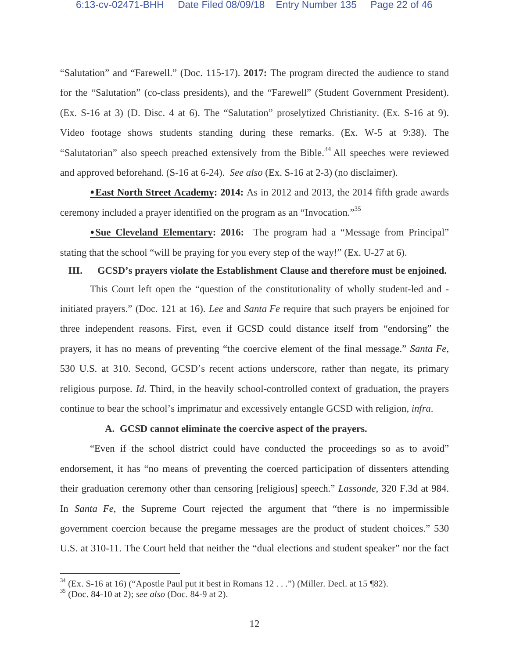"Salutation" and "Farewell." (Doc. 115-17). **2017:** The program directed the audience to stand for the "Salutation" (co-class presidents), and the "Farewell" (Student Government President). (Ex. S-16 at 3) (D. Disc. 4 at 6). The "Salutation" proselytized Christianity. (Ex. S-16 at 9). Video footage shows students standing during these remarks. (Ex. W-5 at 9:38). The "Salutatorian" also speech preached extensively from the Bible.<sup>34</sup> All speeches were reviewed and approved beforehand. (S-16 at 6-24). *See also* (Ex. S-16 at 2-3) (no disclaimer).

**East North Street Academy: 2014:** As in 2012 and 2013, the 2014 fifth grade awards ceremony included a prayer identified on the program as an "Invocation."35

**Sue Cleveland Elementary: 2016:** The program had a "Message from Principal" stating that the school "will be praying for you every step of the way!" (Ex. U-27 at 6).

#### **III. GCSD's prayers violate the Establishment Clause and therefore must be enjoined.**

This Court left open the "question of the constitutionality of wholly student-led and initiated prayers." (Doc. 121 at 16). *Lee* and *Santa Fe* require that such prayers be enjoined for three independent reasons. First, even if GCSD could distance itself from "endorsing" the prayers, it has no means of preventing "the coercive element of the final message." *Santa Fe*, 530 U.S. at 310. Second, GCSD's recent actions underscore, rather than negate, its primary religious purpose. *Id.* Third, in the heavily school-controlled context of graduation, the prayers continue to bear the school's imprimatur and excessively entangle GCSD with religion, *infra*.

#### **A. GCSD cannot eliminate the coercive aspect of the prayers.**

"Even if the school district could have conducted the proceedings so as to avoid" endorsement, it has "no means of preventing the coerced participation of dissenters attending their graduation ceremony other than censoring [religious] speech." *Lassonde*, 320 F.3d at 984. In *Santa Fe*, the Supreme Court rejected the argument that "there is no impermissible government coercion because the pregame messages are the product of student choices." 530 U.S. at 310-11. The Court held that neither the "dual elections and student speaker" nor the fact

 $34$  (Ex. S-16 at 16) ("Apostle Paul put it best in Romans 12 . . .") (Miller. Decl. at 15 ¶82).

<sup>35 (</sup>Doc. 84-10 at 2); *see also* (Doc. 84-9 at 2).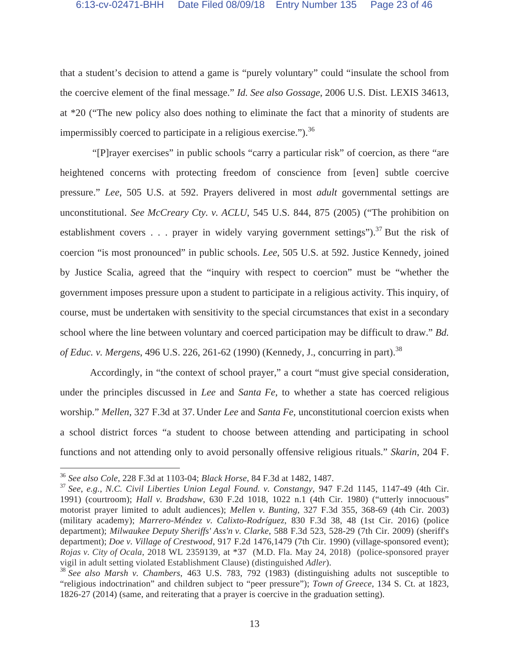that a student's decision to attend a game is "purely voluntary" could "insulate the school from the coercive element of the final message." *Id. See also Gossage*, 2006 U.S. Dist. LEXIS 34613, at \*20 ("The new policy also does nothing to eliminate the fact that a minority of students are impermissibly coerced to participate in a religious exercise." $\cdot$ <sup>36</sup>

 "[P]rayer exercises" in public schools "carry a particular risk" of coercion, as there "are heightened concerns with protecting freedom of conscience from [even] subtle coercive pressure." *Lee*, 505 U.S. at 592. Prayers delivered in most *adult* governmental settings are unconstitutional. *See McCreary Cty. v. ACLU*, 545 U.S. 844, 875 (2005) ("The prohibition on establishment covers . . . prayer in widely varying government settings").<sup>37</sup> But the risk of coercion "is most pronounced" in public schools. *Lee*, 505 U.S. at 592. Justice Kennedy, joined by Justice Scalia, agreed that the "inquiry with respect to coercion" must be "whether the government imposes pressure upon a student to participate in a religious activity. This inquiry, of course, must be undertaken with sensitivity to the special circumstances that exist in a secondary school where the line between voluntary and coerced participation may be difficult to draw." *Bd. of Educ. v. Mergens*, 496 U.S. 226, 261-62 (1990) (Kennedy, J., concurring in part).<sup>38</sup>

Accordingly, in "the context of school prayer," a court "must give special consideration, under the principles discussed in *Lee* and *Santa Fe*, to whether a state has coerced religious worship." *Mellen*, 327 F.3d at 37. Under *Lee* and *Santa Fe*, unconstitutional coercion exists when a school district forces "a student to choose between attending and participating in school functions and not attending only to avoid personally offensive religious rituals." *Skarin*, 204 F.

<sup>36</sup> *See also Cole*, 228 F.3d at 1103-04; *Black Horse*, 84 F.3d at 1482, 1487.

<sup>37</sup> *See*, *e.g.*, *N.C. Civil Liberties Union Legal Found. v. Constangy*, 947 F.2d 1145, 1147-49 (4th Cir. 1991) (courtroom); *Hall v. Bradshaw*, 630 F.2d 1018, 1022 n.1 (4th Cir. 1980) ("utterly innocuous" motorist prayer limited to adult audiences); *Mellen v. Bunting*, 327 F.3d 355, 368-69 (4th Cir. 2003) (military academy); *Marrero-Méndez v. Calixto-Rodríguez*, 830 F.3d 38, 48 (1st Cir. 2016) (police department); *Milwaukee Deputy Sheriffs' Ass'n v. Clarke*, 588 F.3d 523, 528-29 (7th Cir. 2009) (sheriff's department); *Doe v. Village of Crestwood*, 917 F.2d 1476,1479 (7th Cir. 1990) (village-sponsored event); *Rojas v. City of Ocala*, 2018 WL 2359139, at \*37 (M.D. Fla. May 24, 2018) (police-sponsored prayer vigil in adult setting violated Establishment Clause) (distinguished *Adler*). 38 *See also Marsh v. Chambers*, 463 U.S. 783, 792 (1983) (distinguishing adults not susceptible to

<sup>&</sup>quot;religious indoctrination" and children subject to "peer pressure"); *Town of Greece*, 134 S. Ct. at 1823, 1826-27 (2014) (same, and reiterating that a prayer is coercive in the graduation setting).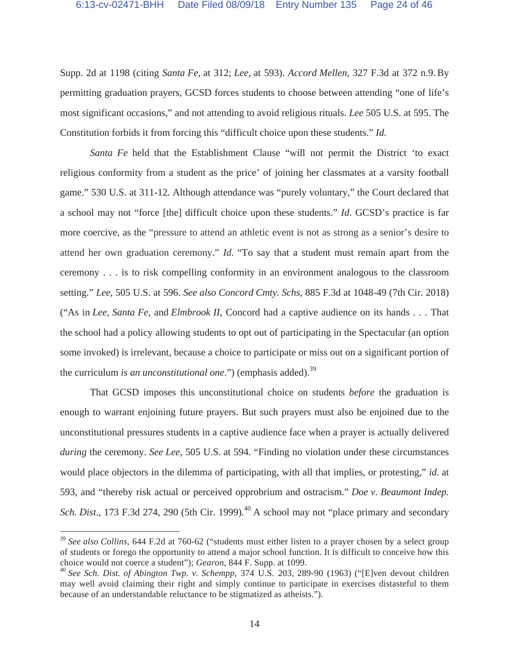Supp. 2d at 1198 (citing *Santa Fe*, at 312; *Lee*, at 593). *Accord Mellen*, 327 F.3d at 372 n.9. By permitting graduation prayers, GCSD forces students to choose between attending "one of life's most significant occasions," and not attending to avoid religious rituals. *Lee* 505 U.S. at 595. The Constitution forbids it from forcing this "difficult choice upon these students." *Id.* 

*Santa Fe* held that the Establishment Clause "will not permit the District 'to exact religious conformity from a student as the price' of joining her classmates at a varsity football game." 530 U.S. at 311-12. Although attendance was "purely voluntary," the Court declared that a school may not "force [the] difficult choice upon these students." *Id*. GCSD's practice is far more coercive, as the "pressure to attend an athletic event is not as strong as a senior's desire to attend her own graduation ceremony." *Id.* "To say that a student must remain apart from the ceremony . . . is to risk compelling conformity in an environment analogous to the classroom setting." *Lee*, 505 U.S. at 596. *See also Concord Cmty. Schs*, 885 F.3d at 1048-49 (7th Cir. 2018) ("As in *Lee, Santa Fe*, and *Elmbrook II*, Concord had a captive audience on its hands . . . That the school had a policy allowing students to opt out of participating in the Spectacular (an option some invoked) is irrelevant, because a choice to participate or miss out on a significant portion of the curriculum *is an unconstitutional one*.") (emphasis added).<sup>39</sup>

That GCSD imposes this unconstitutional choice on students *before* the graduation is enough to warrant enjoining future prayers. But such prayers must also be enjoined due to the unconstitutional pressures students in a captive audience face when a prayer is actually delivered *during* the ceremony. *See Lee*, 505 U.S. at 594. "Finding no violation under these circumstances would place objectors in the dilemma of participating, with all that implies, or protesting," *id.* at 593, and "thereby risk actual or perceived opprobrium and ostracism." *Doe v. Beaumont Indep.*  Sch. Dist., 173 F.3d 274, 290 (5th Cir. 1999).<sup>40</sup> A school may not "place primary and secondary

<sup>&</sup>lt;sup>39</sup> See also Collins, 644 F.2d at 760-62 ("students must either listen to a prayer chosen by a select group of students or forego the opportunity to attend a major school function. It is difficult to conceive how this choice would not coerce a student"); *Gearon*, 844 F. Supp. at 1099.

<sup>40</sup> *See Sch. Dist. of Abington Twp. v. Schempp*, 374 U.S. 203, 289-90 (1963) ("[E]ven devout children may well avoid claiming their right and simply continue to participate in exercises distasteful to them because of an understandable reluctance to be stigmatized as atheists.").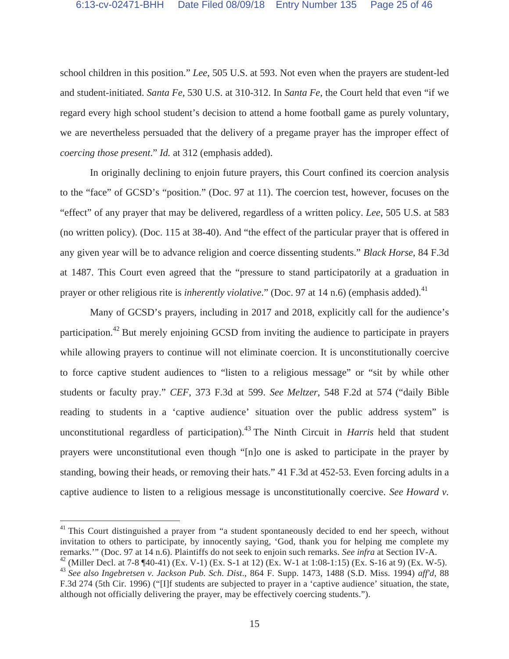school children in this position." *Lee*, 505 U.S. at 593. Not even when the prayers are student-led and student-initiated. *Santa Fe*, 530 U.S. at 310-312. In *Santa Fe*, the Court held that even "if we regard every high school student's decision to attend a home football game as purely voluntary, we are nevertheless persuaded that the delivery of a pregame prayer has the improper effect of *coercing those present*." *Id.* at 312 (emphasis added).

In originally declining to enjoin future prayers, this Court confined its coercion analysis to the "face" of GCSD's "position." (Doc. 97 at 11). The coercion test, however, focuses on the "effect" of any prayer that may be delivered, regardless of a written policy. *Lee*, 505 U.S. at 583 (no written policy). (Doc. 115 at 38-40). And "the effect of the particular prayer that is offered in any given year will be to advance religion and coerce dissenting students." *Black Horse*, 84 F.3d at 1487. This Court even agreed that the "pressure to stand participatorily at a graduation in prayer or other religious rite is *inherently violative*." (Doc. 97 at 14 n.6) (emphasis added).<sup>41</sup>

Many of GCSD's prayers, including in 2017 and 2018, explicitly call for the audience's participation.<sup>42</sup> But merely enjoining GCSD from inviting the audience to participate in prayers while allowing prayers to continue will not eliminate coercion. It is unconstitutionally coercive to force captive student audiences to "listen to a religious message" or "sit by while other students or faculty pray." *CEF*, 373 F.3d at 599. *See Meltzer*, 548 F.2d at 574 ("daily Bible reading to students in a 'captive audience' situation over the public address system" is unconstitutional regardless of participation).<sup>43</sup> The Ninth Circuit in *Harris* held that student prayers were unconstitutional even though "[n]o one is asked to participate in the prayer by standing, bowing their heads, or removing their hats." 41 F.3d at 452-53. Even forcing adults in a captive audience to listen to a religious message is unconstitutionally coercive. *See Howard v.* 

 $41$ <sup>41</sup> This Court distinguished a prayer from "a student spontaneously decided to end her speech, without invitation to others to participate, by innocently saying, 'God, thank you for helping me complete my remarks.'" (Doc. 97 at 14 n.6). Plaintiffs do not seek to enjoin such remarks. *See infra* at Section IV-A.

<sup>&</sup>lt;sup>42</sup> (Miller Decl. at 7-8 ¶40-41) (Ex. V-1) (Ex. S-1 at 12) (Ex. W-1 at 1:08-1:15) (Ex. S-16 at 9) (Ex. W-5). <sup>43</sup> *See also Ingebretsen v. Jackson Pub. Sch. Dist*., 864 F. Supp. 1473, 1488 (S.D. Miss. 1994) *aff'd*, 88 F.3d 274 (5th Cir. 1996) ("[I]f students are subjected to prayer in a 'captive audience' situation, the state, although not officially delivering the prayer, may be effectively coercing students.").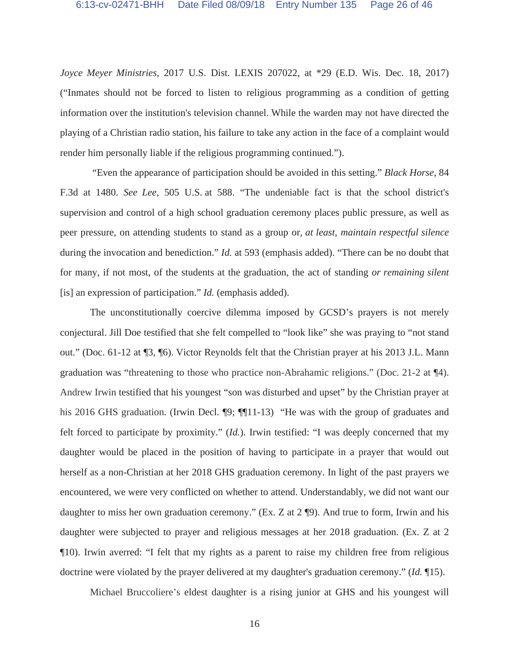*Joyce Meyer Ministries*, 2017 U.S. Dist. LEXIS 207022, at \*29 (E.D. Wis. Dec. 18, 2017) ("Inmates should not be forced to listen to religious programming as a condition of getting information over the institution's television channel. While the warden may not have directed the playing of a Christian radio station, his failure to take any action in the face of a complaint would render him personally liable if the religious programming continued.").

 "Even the appearance of participation should be avoided in this setting." *Black Horse*, 84 F.3d at 1480. *See Lee*, 505 U.S. at 588. "The undeniable fact is that the school district's supervision and control of a high school graduation ceremony places public pressure, as well as peer pressure, on attending students to stand as a group or*, at least*, *maintain respectful silence* during the invocation and benediction." *Id.* at 593 (emphasis added). "There can be no doubt that for many, if not most, of the students at the graduation, the act of standing *or remaining silent* [is] an expression of participation." *Id.* (emphasis added).

The unconstitutionally coercive dilemma imposed by GCSD's prayers is not merely conjectural. Jill Doe testified that she felt compelled to "look like" she was praying to "not stand out." (Doc. 61-12 at ¶3, ¶6). Victor Reynolds felt that the Christian prayer at his 2013 J.L. Mann graduation was "threatening to those who practice non-Abrahamic religions." (Doc. 21-2 at ¶4). Andrew Irwin testified that his youngest "son was disturbed and upset" by the Christian prayer at his 2016 GHS graduation. (Irwin Decl. **[9**; **[11-13**) "He was with the group of graduates and felt forced to participate by proximity." (*Id.*). Irwin testified: "I was deeply concerned that my daughter would be placed in the position of having to participate in a prayer that would out herself as a non-Christian at her 2018 GHS graduation ceremony. In light of the past prayers we encountered, we were very conflicted on whether to attend. Understandably, we did not want our daughter to miss her own graduation ceremony." (Ex. Z at 2 ¶9). And true to form, Irwin and his daughter were subjected to prayer and religious messages at her 2018 graduation. (Ex. Z at 2 ¶10). Irwin averred: "I felt that my rights as a parent to raise my children free from religious doctrine were violated by the prayer delivered at my daughter's graduation ceremony." (*Id.* ¶15).

Michael Bruccoliere's eldest daughter is a rising junior at GHS and his youngest will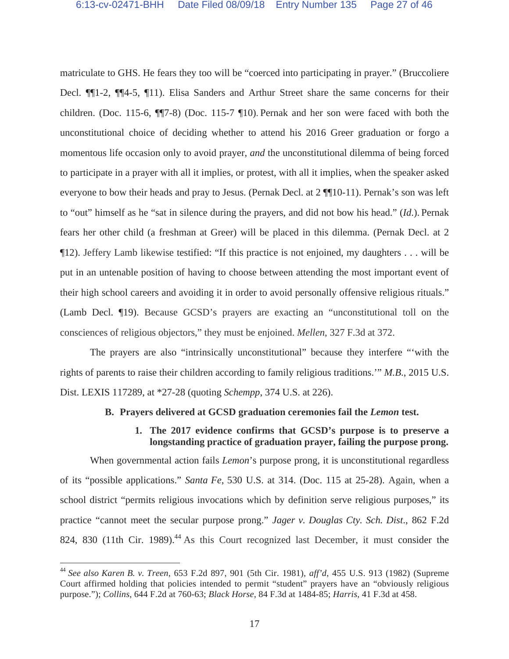matriculate to GHS. He fears they too will be "coerced into participating in prayer." (Bruccoliere Decl. ¶¶1-2, ¶¶4-5, ¶11). Elisa Sanders and Arthur Street share the same concerns for their children. (Doc. 115-6, ¶¶7-8) (Doc. 115-7 ¶10). Pernak and her son were faced with both the unconstitutional choice of deciding whether to attend his 2016 Greer graduation or forgo a momentous life occasion only to avoid prayer, *and* the unconstitutional dilemma of being forced to participate in a prayer with all it implies, or protest, with all it implies, when the speaker asked everyone to bow their heads and pray to Jesus. (Pernak Decl. at 2 ¶¶10-11). Pernak's son was left to "out" himself as he "sat in silence during the prayers, and did not bow his head." (*Id*.). Pernak fears her other child (a freshman at Greer) will be placed in this dilemma. (Pernak Decl. at 2 ¶12). Jeffery Lamb likewise testified: "If this practice is not enjoined, my daughters . . . will be put in an untenable position of having to choose between attending the most important event of their high school careers and avoiding it in order to avoid personally offensive religious rituals." (Lamb Decl. ¶19). Because GCSD's prayers are exacting an "unconstitutional toll on the consciences of religious objectors," they must be enjoined. *Mellen*, 327 F.3d at 372.

The prayers are also "intrinsically unconstitutional" because they interfere "'with the rights of parents to raise their children according to family religious traditions.'" *M.B*., 2015 U.S. Dist. LEXIS 117289, at \*27-28 (quoting *Schempp*, 374 U.S. at 226).

# **B. Prayers delivered at GCSD graduation ceremonies fail the** *Lemon* **test.**

**1. The 2017 evidence confirms that GCSD's purpose is to preserve a longstanding practice of graduation prayer, failing the purpose prong.** 

When governmental action fails *Lemon*'s purpose prong, it is unconstitutional regardless of its "possible applications." *Santa Fe*, 530 U.S. at 314. (Doc. 115 at 25-28). Again, when a school district "permits religious invocations which by definition serve religious purposes," its practice "cannot meet the secular purpose prong." *Jager v. Douglas Cty. Sch. Dist*., 862 F.2d 824, 830 (11th Cir. 1989).<sup>44</sup> As this Court recognized last December, it must consider the

<sup>44</sup> *See also Karen B. v. Treen*, 653 F.2d 897, 901 (5th Cir. 1981), *aff'd*, 455 U.S. 913 (1982) (Supreme Court affirmed holding that policies intended to permit "student" prayers have an "obviously religious purpose."); *Collins*, 644 F.2d at 760-63; *Black Horse*, 84 F.3d at 1484-85; *Harris*, 41 F.3d at 458.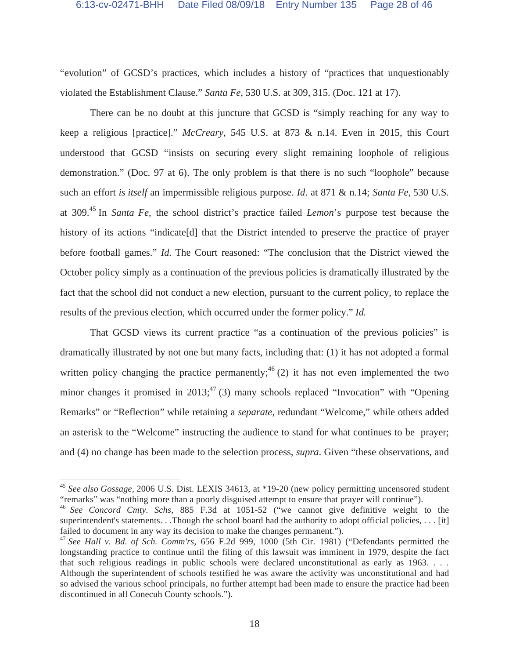"evolution" of GCSD's practices, which includes a history of "practices that unquestionably violated the Establishment Clause." *Santa Fe*, 530 U.S. at 309, 315. (Doc. 121 at 17).

There can be no doubt at this juncture that GCSD is "simply reaching for any way to keep a religious [practice]." *McCreary*, 545 U.S. at 873 & n.14. Even in 2015, this Court understood that GCSD "insists on securing every slight remaining loophole of religious demonstration." (Doc. 97 at 6). The only problem is that there is no such "loophole" because such an effort *is itself* an impermissible religious purpose. *Id*. at 871 & n.14; *Santa Fe*, 530 U.S. at 309.45 In *Santa Fe*, the school district's practice failed *Lemon*'s purpose test because the history of its actions "indicate[d] that the District intended to preserve the practice of prayer before football games." *Id.* The Court reasoned: "The conclusion that the District viewed the October policy simply as a continuation of the previous policies is dramatically illustrated by the fact that the school did not conduct a new election, pursuant to the current policy, to replace the results of the previous election, which occurred under the former policy." *Id.* 

That GCSD views its current practice "as a continuation of the previous policies" is dramatically illustrated by not one but many facts, including that: (1) it has not adopted a formal written policy changing the practice permanently;  $46(2)$  it has not even implemented the two minor changes it promised in 2013;  $47$  (3) many schools replaced "Invocation" with "Opening Remarks" or "Reflection" while retaining a *separate*, redundant "Welcome," while others added an asterisk to the "Welcome" instructing the audience to stand for what continues to be prayer; and (4) no change has been made to the selection process, *supra*. Given "these observations, and

<sup>45</sup> *See also Gossage*, 2006 U.S. Dist. LEXIS 34613, at \*19-20 (new policy permitting uncensored student "remarks" was "nothing more than a poorly disguised attempt to ensure that prayer will continue").

<sup>46</sup> *See Concord Cmty. Schs*, 885 F.3d at 1051-52 ("we cannot give definitive weight to the superintendent's statements. . .Though the school board had the authority to adopt official policies, . . . [it] failed to document in any way its decision to make the changes permanent.").

<sup>47</sup> *See Hall v. Bd. of Sch. Comm'rs*, 656 F.2d 999, 1000 (5th Cir. 1981) ("Defendants permitted the longstanding practice to continue until the filing of this lawsuit was imminent in 1979, despite the fact that such religious readings in public schools were declared unconstitutional as early as 1963. . . . Although the superintendent of schools testified he was aware the activity was unconstitutional and had so advised the various school principals, no further attempt had been made to ensure the practice had been discontinued in all Conecuh County schools.").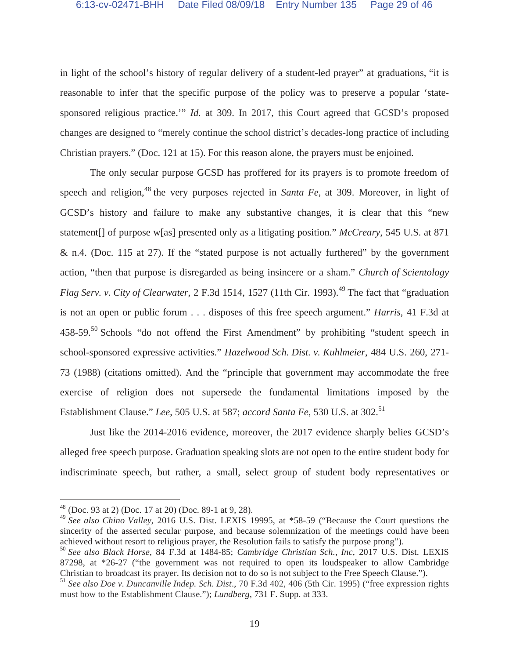in light of the school's history of regular delivery of a student-led prayer" at graduations, "it is reasonable to infer that the specific purpose of the policy was to preserve a popular 'statesponsored religious practice.'" *Id.* at 309. In 2017, this Court agreed that GCSD's proposed changes are designed to "merely continue the school district's decades-long practice of including Christian prayers." (Doc. 121 at 15). For this reason alone, the prayers must be enjoined.

The only secular purpose GCSD has proffered for its prayers is to promote freedom of speech and religion,<sup>48</sup> the very purposes rejected in *Santa Fe*, at 309. Moreover, in light of GCSD's history and failure to make any substantive changes, it is clear that this "new statement[] of purpose w[as] presented only as a litigating position." *McCreary*, 545 U.S. at 871 & n.4. (Doc. 115 at 27). If the "stated purpose is not actually furthered" by the government action, "then that purpose is disregarded as being insincere or a sham." *Church of Scientology Flag Serv. v. City of Clearwater*, 2 F.3d 1514, 1527 (11th Cir. 1993).<sup>49</sup> The fact that "graduation" is not an open or public forum . . . disposes of this free speech argument." *Harris*, 41 F.3d at 458-59.<sup>50</sup> Schools "do not offend the First Amendment" by prohibiting "student speech in school-sponsored expressive activities." *Hazelwood Sch. Dist. v. Kuhlmeier*, 484 U.S. 260, 271- 73 (1988) (citations omitted). And the "principle that government may accommodate the free exercise of religion does not supersede the fundamental limitations imposed by the Establishment Clause." *Lee*, 505 U.S. at 587; *accord Santa Fe*, 530 U.S. at 302.<sup>51</sup>

Just like the 2014-2016 evidence, moreover, the 2017 evidence sharply belies GCSD's alleged free speech purpose. Graduation speaking slots are not open to the entire student body for indiscriminate speech, but rather, a small, select group of student body representatives or

 $48$  (Doc. 93 at 2) (Doc. 17 at 20) (Doc. 89-1 at 9, 28).

<sup>49</sup> *See also Chino Valley*, 2016 U.S. Dist. LEXIS 19995, at \*58-59 ("Because the Court questions the sincerity of the asserted secular purpose, and because solemnization of the meetings could have been achieved without resort to religious prayer, the Resolution fails to satisfy the purpose prong").

<sup>50</sup> *See also Black Horse*, 84 F.3d at 1484-85; *Cambridge Christian Sch., Inc*, 2017 U.S. Dist. LEXIS 87298, at \*26-27 ("the government was not required to open its loudspeaker to allow Cambridge Christian to broadcast its prayer. Its decision not to do so is not subject to the Free Speech Clause.").

<sup>51</sup> *See also Doe v. Duncanville Indep. Sch. Dist*., 70 F.3d 402, 406 (5th Cir. 1995) ("free expression rights must bow to the Establishment Clause."); *Lundberg*, 731 F. Supp. at 333.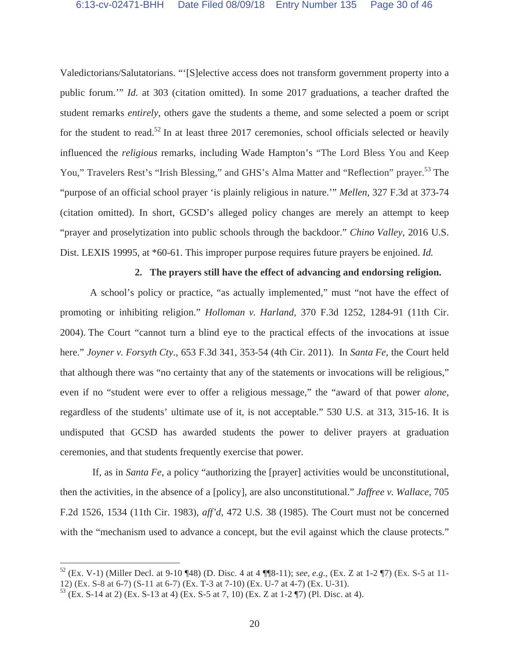Valedictorians/Salutatorians. "'[S]elective access does not transform government property into a public forum.'" *Id.* at 303 (citation omitted). In some 2017 graduations, a teacher drafted the student remarks *entirely*, others gave the students a theme, and some selected a poem or script for the student to read.<sup>52</sup> In at least three 2017 ceremonies, school officials selected or heavily influenced the *religious* remarks, including Wade Hampton's "The Lord Bless You and Keep You," Travelers Rest's "Irish Blessing," and GHS's Alma Matter and "Reflection" prayer.<sup>53</sup> The "purpose of an official school prayer 'is plainly religious in nature.'" *Mellen*, 327 F.3d at 373-74 (citation omitted). In short, GCSD's alleged policy changes are merely an attempt to keep "prayer and proselytization into public schools through the backdoor." *Chino Valley*, 2016 U.S. Dist. LEXIS 19995, at \*60-61. This improper purpose requires future prayers be enjoined. *Id.* 

#### **2. The prayers still have the effect of advancing and endorsing religion.**

A school's policy or practice, "as actually implemented," must "not have the effect of promoting or inhibiting religion." *Holloman v. Harland*, 370 F.3d 1252, 1284-91 (11th Cir. 2004). The Court "cannot turn a blind eye to the practical effects of the invocations at issue here." *Joyner v. Forsyth Cty*., 653 F.3d 341, 353-54 (4th Cir. 2011). In *Santa Fe*, the Court held that although there was "no certainty that any of the statements or invocations will be religious," even if no "student were ever to offer a religious message," the "award of that power *alone*, regardless of the students' ultimate use of it, is not acceptable." 530 U.S. at 313, 315-16. It is undisputed that GCSD has awarded students the power to deliver prayers at graduation ceremonies, and that students frequently exercise that power.

 If, as in *Santa Fe*, a policy "authorizing the [prayer] activities would be unconstitutional, then the activities, in the absence of a [policy], are also unconstitutional." *Jaffree v. Wallace*, 705 F.2d 1526, 1534 (11th Cir. 1983), *aff'd*, 472 U.S. 38 (1985). The Court must not be concerned with the "mechanism used to advance a concept, but the evil against which the clause protects."

<sup>52 (</sup>Ex. V-1) (Miller Decl. at 9-10 ¶48) (D. Disc. 4 at 4 ¶¶8-11); *see, e.g.*, (Ex. Z at 1-2 ¶7) (Ex. S-5 at 11- 12) (Ex. S-8 at 6-7) (S-11 at 6-7) (Ex. T-3 at 7-10) (Ex. U-7 at 4-7) (Ex. U-31).

<sup>53 (</sup>Ex. S-14 at 2) (Ex. S-13 at 4) (Ex. S-5 at 7, 10) (Ex. Z at 1-2 ¶7) (Pl. Disc. at 4).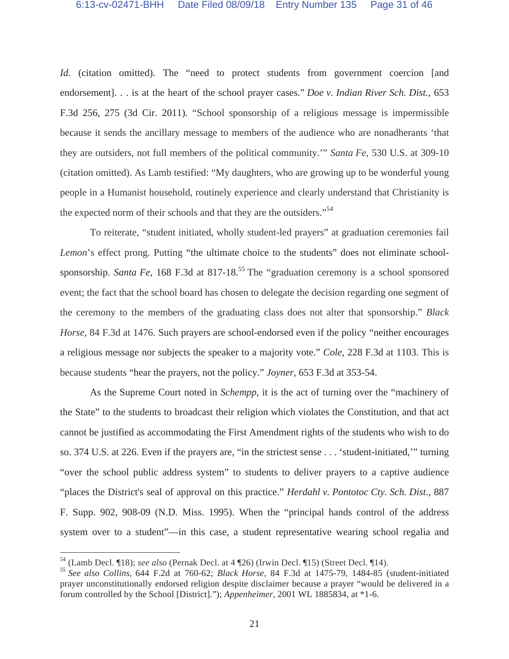*Id.* (citation omitted). The "need to protect students from government coercion [and endorsement]. . . is at the heart of the school prayer cases." *Doe v. Indian River Sch. Dist.*, 653 F.3d 256, 275 (3d Cir. 2011). "School sponsorship of a religious message is impermissible because it sends the ancillary message to members of the audience who are nonadherants 'that they are outsiders, not full members of the political community.'" *Santa Fe*, 530 U.S. at 309-10 (citation omitted). As Lamb testified: "My daughters, who are growing up to be wonderful young people in a Humanist household, routinely experience and clearly understand that Christianity is the expected norm of their schools and that they are the outsiders."<sup>54</sup>

To reiterate, "student initiated, wholly student-led prayers" at graduation ceremonies fail *Lemon*'s effect prong. Putting "the ultimate choice to the students" does not eliminate schoolsponsorship. *Santa Fe*, 168 F.3d at 817-18.<sup>55</sup> The "graduation ceremony is a school sponsored event; the fact that the school board has chosen to delegate the decision regarding one segment of the ceremony to the members of the graduating class does not alter that sponsorship." *Black Horse*, 84 F.3d at 1476. Such prayers are school-endorsed even if the policy "neither encourages a religious message nor subjects the speaker to a majority vote." *Cole*, 228 F.3d at 1103. This is because students "hear the prayers, not the policy." *Joyner*, 653 F.3d at 353-54.

As the Supreme Court noted in *Schempp*, it is the act of turning over the "machinery of the State" to the students to broadcast their religion which violates the Constitution, and that act cannot be justified as accommodating the First Amendment rights of the students who wish to do so. 374 U.S. at 226. Even if the prayers are, "in the strictest sense . . . 'student-initiated,'" turning "over the school public address system" to students to deliver prayers to a captive audience "places the District's seal of approval on this practice." *Herdahl v. Pontotoc Cty. Sch. Dist*., 887 F. Supp. 902, 908-09 (N.D. Miss. 1995). When the "principal hands control of the address system over to a student"—in this case, a student representative wearing school regalia and

<sup>54</sup> (Lamb Decl. ¶18); *see also* (Pernak Decl. at 4 ¶26) (Irwin Decl. ¶15) (Street Decl. ¶14).

<sup>55</sup> *See also Collins*, 644 F.2d at 760-62; *Black Horse*, 84 F.3d at 1475-79, 1484-85 (student-initiated prayer unconstitutionally endorsed religion despite disclaimer because a prayer "would be delivered in a forum controlled by the School [District]."); *Appenheimer*, 2001 WL 1885834, at \*1-6.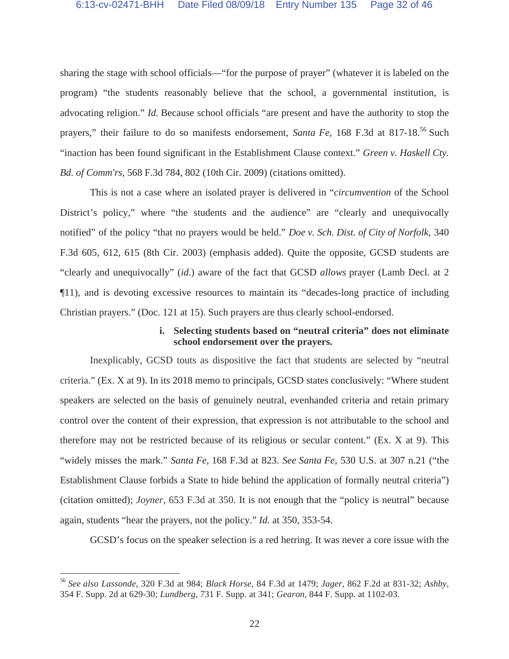sharing the stage with school officials—"for the purpose of prayer" (whatever it is labeled on the program) "the students reasonably believe that the school, a governmental institution, is advocating religion." *Id.* Because school officials "are present and have the authority to stop the prayers," their failure to do so manifests endorsement, *Santa Fe*, 168 F.3d at 817-18.<sup>56</sup> Such "inaction has been found significant in the Establishment Clause context." *Green v. Haskell Cty. Bd. of Comm'rs*, 568 F.3d 784, 802 (10th Cir. 2009) (citations omitted).

This is not a case where an isolated prayer is delivered in "*circumvention* of the School District's policy," where "the students and the audience" are "clearly and unequivocally notified" of the policy "that no prayers would be held." *Doe v. Sch. Dist. of City of Norfolk*, 340 F.3d 605, 612, 615 (8th Cir. 2003) (emphasis added). Quite the opposite, GCSD students are "clearly and unequivocally" (*id*.) aware of the fact that GCSD *allows* prayer (Lamb Decl. at 2 ¶11), and is devoting excessive resources to maintain its "decades-long practice of including Christian prayers." (Doc. 121 at 15). Such prayers are thus clearly school-endorsed.

# **i. Selecting students based on "neutral criteria" does not eliminate school endorsement over the prayers.**

Inexplicably, GCSD touts as dispositive the fact that students are selected by "neutral criteria." (Ex. X at 9). In its 2018 memo to principals, GCSD states conclusively: "Where student speakers are selected on the basis of genuinely neutral, evenhanded criteria and retain primary control over the content of their expression, that expression is not attributable to the school and therefore may not be restricted because of its religious or secular content." (Ex. X at 9). This "widely misses the mark." *Santa Fe*, 168 F.3d at 823. *See Santa Fe*, 530 U.S. at 307 n.21 ("the Establishment Clause forbids a State to hide behind the application of formally neutral criteria") (citation omitted); *Joyner*, 653 F.3d at 350. It is not enough that the "policy is neutral" because again, students "hear the prayers, not the policy." *Id.* at 350, 353-54.

GCSD's focus on the speaker selection is a red herring. It was never a core issue with the

<sup>56</sup> *See also Lassonde*, 320 F.3d at 984; *Black Horse*, 84 F.3d at 1479; *Jager*, 862 F.2d at 831-32; *Ashby*, 354 F. Supp. 2d at 629-30; *Lundberg*, 731 F. Supp. at 341; *Gearon*, 844 F. Supp. at 1102-03.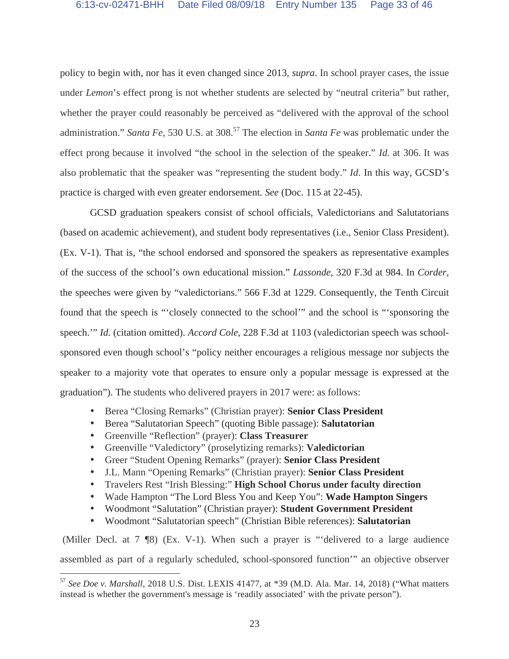policy to begin with, nor has it even changed since 2013, *supra*. In school prayer cases, the issue under *Lemon*'s effect prong is not whether students are selected by "neutral criteria" but rather, whether the prayer could reasonably be perceived as "delivered with the approval of the school administration." *Santa Fe*, 530 U.S. at 308.<sup>57</sup> The election in *Santa Fe* was problematic under the effect prong because it involved "the school in the selection of the speaker." *Id.* at 306. It was also problematic that the speaker was "representing the student body." *Id*. In this way, GCSD's practice is charged with even greater endorsement*. See* (Doc. 115 at 22-45).

GCSD graduation speakers consist of school officials, Valedictorians and Salutatorians (based on academic achievement), and student body representatives (i.e., Senior Class President). (Ex. V-1). That is, "the school endorsed and sponsored the speakers as representative examples of the success of the school's own educational mission." *Lassonde*, 320 F.3d at 984. In *Corder*, the speeches were given by "valedictorians." 566 F.3d at 1229. Consequently, the Tenth Circuit found that the speech is "'closely connected to the school'" and the school is "'sponsoring the speech.'" *Id.* (citation omitted). *Accord Cole*, 228 F.3d at 1103 (valedictorian speech was schoolsponsored even though school's "policy neither encourages a religious message nor subjects the speaker to a majority vote that operates to ensure only a popular message is expressed at the graduation"). The students who delivered prayers in 2017 were: as follows:

- Berea "Closing Remarks" (Christian prayer): **Senior Class President**
- Berea "Salutatorian Speech" (quoting Bible passage): **Salutatorian**
- Greenville "Reflection" (prayer): **Class Treasurer**

 $\overline{a}$ 

- Greenville "Valedictory" (proselytizing remarks): **Valedictorian**
- Greer "Student Opening Remarks" (prayer): **Senior Class President**
- J.L. Mann "Opening Remarks" (Christian prayer): **Senior Class President**
- Travelers Rest "Irish Blessing:" **High School Chorus under faculty direction**
- Wade Hampton "The Lord Bless You and Keep You": **Wade Hampton Singers**
- Woodmont "Salutation" (Christian prayer): **Student Government President**
- Woodmont "Salutatorian speech" (Christian Bible references): **Salutatorian**

 (Miller Decl. at 7 ¶8) (Ex. V-1). When such a prayer is "'delivered to a large audience assembled as part of a regularly scheduled, school-sponsored function'" an objective observer

<sup>57</sup> *See Doe v. Marshall*, 2018 U.S. Dist. LEXIS 41477, at \*39 (M.D. Ala. Mar. 14, 2018) ("What matters instead is whether the government's message is 'readily associated' with the private person").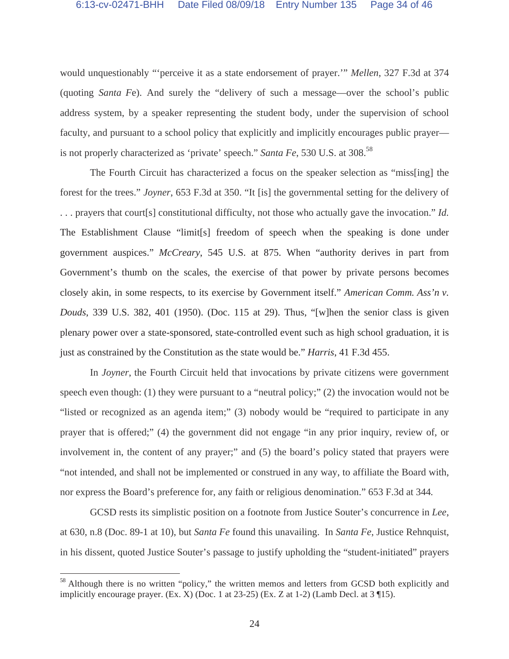would unquestionably "'perceive it as a state endorsement of prayer.'" *Mellen*, 327 F.3d at 374 (quoting *Santa F*e). And surely the "delivery of such a message—over the school's public address system, by a speaker representing the student body, under the supervision of school faculty, and pursuant to a school policy that explicitly and implicitly encourages public prayer is not properly characterized as 'private' speech." *Santa Fe*, 530 U.S. at 308.<sup>58</sup>

The Fourth Circuit has characterized a focus on the speaker selection as "miss[ing] the forest for the trees." *Joyner*, 653 F.3d at 350. "It [is] the governmental setting for the delivery of . . . prayers that court[s] constitutional difficulty, not those who actually gave the invocation." *Id.* The Establishment Clause "limit[s] freedom of speech when the speaking is done under government auspices." *McCreary*, 545 U.S. at 875. When "authority derives in part from Government's thumb on the scales, the exercise of that power by private persons becomes closely akin, in some respects, to its exercise by Government itself." *American Comm. Ass'n v. Douds*, 339 U.S. 382, 401 (1950). (Doc. 115 at 29). Thus, "[w]hen the senior class is given plenary power over a state-sponsored, state-controlled event such as high school graduation, it is just as constrained by the Constitution as the state would be." *Harris*, 41 F.3d 455.

In *Joyner*, the Fourth Circuit held that invocations by private citizens were government speech even though: (1) they were pursuant to a "neutral policy;" (2) the invocation would not be "listed or recognized as an agenda item;" (3) nobody would be "required to participate in any prayer that is offered;" (4) the government did not engage "in any prior inquiry, review of, or involvement in, the content of any prayer;" and (5) the board's policy stated that prayers were "not intended, and shall not be implemented or construed in any way, to affiliate the Board with, nor express the Board's preference for, any faith or religious denomination." 653 F.3d at 344*.*

GCSD rests its simplistic position on a footnote from Justice Souter's concurrence in *Lee*, at 630, n.8 (Doc. 89-1 at 10), but *Santa Fe* found this unavailing. In *Santa Fe*, Justice Rehnquist, in his dissent, quoted Justice Souter's passage to justify upholding the "student-initiated" prayers

<sup>&</sup>lt;sup>58</sup> Although there is no written "policy," the written memos and letters from GCSD both explicitly and implicitly encourage prayer. (Ex. X) (Doc. 1 at 23-25) (Ex. Z at 1-2) (Lamb Decl. at 3 ¶15).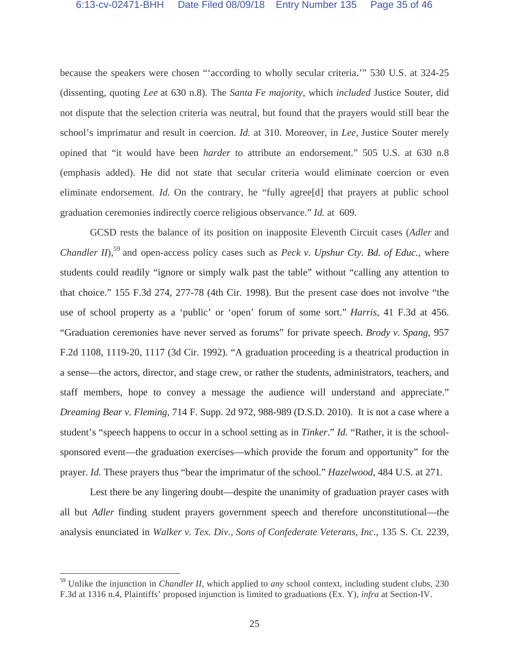because the speakers were chosen "'according to wholly secular criteria.'" 530 U.S. at 324-25 (dissenting, quoting *Lee* at 630 n.8). The *Santa Fe majority*, which *included* Justice Souter, did not dispute that the selection criteria was neutral, but found that the prayers would still bear the school's imprimatur and result in coercion. *Id.* at 310. Moreover, in *Lee*, Justice Souter merely opined that "it would have been *harder* to attribute an endorsement." 505 U.S. at 630 n.8 (emphasis added). He did not state that secular criteria would eliminate coercion or even eliminate endorsement. *Id*. On the contrary, he "fully agree<sup>[d]</sup> that prayers at public school graduation ceremonies indirectly coerce religious observance." *Id.* at 609.

GCSD rests the balance of its position on inapposite Eleventh Circuit cases (*Adler* and *Chandler II*),<sup>59</sup> and open-access policy cases such as *Peck v. Upshur Cty. Bd. of Educ.*, where students could readily "ignore or simply walk past the table" without "calling any attention to that choice." 155 F.3d 274, 277-78 (4th Cir. 1998). But the present case does not involve "the use of school property as a 'public' or 'open' forum of some sort." *Harris*, 41 F.3d at 456. "Graduation ceremonies have never served as forums" for private speech. *Brody v. Spang*, 957 F.2d 1108, 1119-20, 1117 (3d Cir. 1992). "A graduation proceeding is a theatrical production in a sense—the actors, director, and stage crew, or rather the students, administrators, teachers, and staff members, hope to convey a message the audience will understand and appreciate." *Dreaming Bear v. Fleming*, 714 F. Supp. 2d 972, 988-989 (D.S.D. 2010). It is not a case where a student's "speech happens to occur in a school setting as in *Tinker*." *Id.* "Rather, it is the schoolsponsored event—the graduation exercises—which provide the forum and opportunity" for the prayer. *Id.* These prayers thus "bear the imprimatur of the school." *Hazelwood*, 484 U.S. at 271.

Lest there be any lingering doubt—despite the unanimity of graduation prayer cases with all but *Adler* finding student prayers government speech and therefore unconstitutional—the analysis enunciated in *Walker v. Tex. Div., Sons of Confederate Veterans, Inc*., 135 S. Ct. 2239,

<sup>59</sup> Unlike the injunction in *Chandler II*, which applied to *any* school context, including student clubs, 230 F.3d at 1316 n.4, Plaintiffs' proposed injunction is limited to graduations (Ex. Y), *infra* at Section-IV.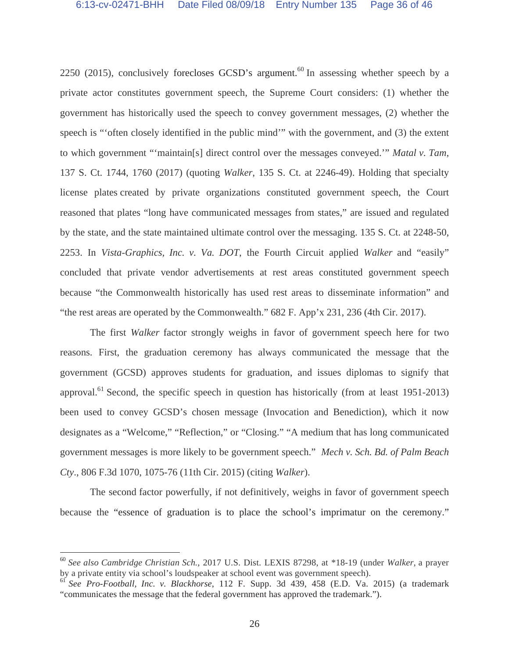2250 (2015), conclusively forecloses GCSD's argument.<sup>60</sup> In assessing whether speech by a private actor constitutes government speech, the Supreme Court considers: (1) whether the government has historically used the speech to convey government messages, (2) whether the speech is "'often closely identified in the public mind'" with the government, and (3) the extent to which government "'maintain[s] direct control over the messages conveyed.'" *Matal v. Tam*, 137 S. Ct. 1744, 1760 (2017) (quoting *Walker*, 135 S. Ct. at 2246-49). Holding that specialty license plates created by private organizations constituted government speech, the Court reasoned that plates "long have communicated messages from states," are issued and regulated by the state, and the state maintained ultimate control over the messaging. 135 S. Ct. at 2248-50, 2253. In *Vista-Graphics, Inc. v. Va. DOT*, the Fourth Circuit applied *Walker* and "easily" concluded that private vendor advertisements at rest areas constituted government speech because "the Commonwealth historically has used rest areas to disseminate information" and "the rest areas are operated by the Commonwealth." 682 F. App'x 231, 236 (4th Cir. 2017).

The first *Walker* factor strongly weighs in favor of government speech here for two reasons. First, the graduation ceremony has always communicated the message that the government (GCSD) approves students for graduation, and issues diplomas to signify that approval.<sup>61</sup> Second, the specific speech in question has historically (from at least 1951-2013) been used to convey GCSD's chosen message (Invocation and Benediction), which it now designates as a "Welcome," "Reflection," or "Closing." "A medium that has long communicated government messages is more likely to be government speech." *Mech v. Sch. Bd. of Palm Beach Cty*., 806 F.3d 1070, 1075-76 (11th Cir. 2015) (citing *Walker*).

The second factor powerfully, if not definitively, weighs in favor of government speech because the "essence of graduation is to place the school's imprimatur on the ceremony."

<sup>60</sup> *See also Cambridge Christian Sch.*, 2017 U.S. Dist. LEXIS 87298, at \*18-19 (under *Walker*, a prayer by a private entity via school's loudspeaker at school event was government speech).

<sup>61</sup> *See Pro-Football, Inc. v. Blackhorse*, 112 F. Supp. 3d 439, 458 (E.D. Va. 2015) (a trademark "communicates the message that the federal government has approved the trademark.").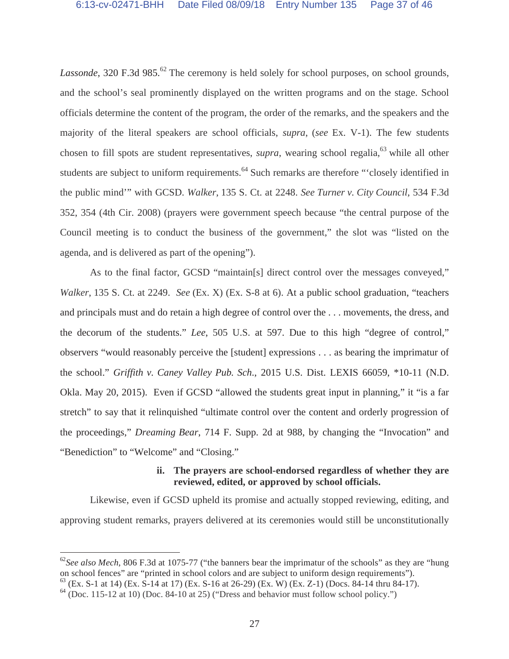*Lassonde*, 320 F.3d 985.<sup>62</sup> The ceremony is held solely for school purposes, on school grounds, and the school's seal prominently displayed on the written programs and on the stage. School officials determine the content of the program, the order of the remarks, and the speakers and the majority of the literal speakers are school officials, *supra*, (*see* Ex. V-1). The few students chosen to fill spots are student representatives, *supra*, wearing school regalia,<sup>63</sup> while all other students are subject to uniform requirements.<sup>64</sup> Such remarks are therefore "'closely identified in the public mind'" with GCSD. *Walker*, 135 S. Ct. at 2248. *See Turner v. City Council*, 534 F.3d 352, 354 (4th Cir. 2008) (prayers were government speech because "the central purpose of the Council meeting is to conduct the business of the government," the slot was "listed on the agenda, and is delivered as part of the opening").

As to the final factor, GCSD "maintain[s] direct control over the messages conveyed," *Walker*, 135 S. Ct. at 2249. *See* (Ex. X) (Ex. S-8 at 6). At a public school graduation, "teachers and principals must and do retain a high degree of control over the . . . movements, the dress, and the decorum of the students." *Lee*, 505 U.S. at 597. Due to this high "degree of control," observers "would reasonably perceive the [student] expressions . . . as bearing the imprimatur of the school." *Griffith v. Caney Valley Pub. Sch*., 2015 U.S. Dist. LEXIS 66059, \*10-11 (N.D. Okla. May 20, 2015).Even if GCSD "allowed the students great input in planning," it "is a far stretch" to say that it relinquished "ultimate control over the content and orderly progression of the proceedings," *Dreaming Bear*, 714 F. Supp. 2d at 988, by changing the "Invocation" and "Benediction" to "Welcome" and "Closing."

# **ii. The prayers are school-endorsed regardless of whether they are reviewed, edited, or approved by school officials.**

Likewise, even if GCSD upheld its promise and actually stopped reviewing, editing, and approving student remarks, prayers delivered at its ceremonies would still be unconstitutionally

<sup>&</sup>lt;sup>62</sup>See also Mech, 806 F.3d at 1075-77 ("the banners bear the imprimatur of the schools" as they are "hung" on school fences" are "printed in school colors and are subject to uniform design requirements").

 $^{63}$  (Ex. S-1 at 14) (Ex. S-14 at 17) (Ex. S-16 at 26-29) (Ex. W) (Ex. Z-1) (Docs. 84-14 thru 84-17).

 $64$  (Doc. 115-12 at 10) (Doc. 84-10 at 25) ("Dress and behavior must follow school policy.")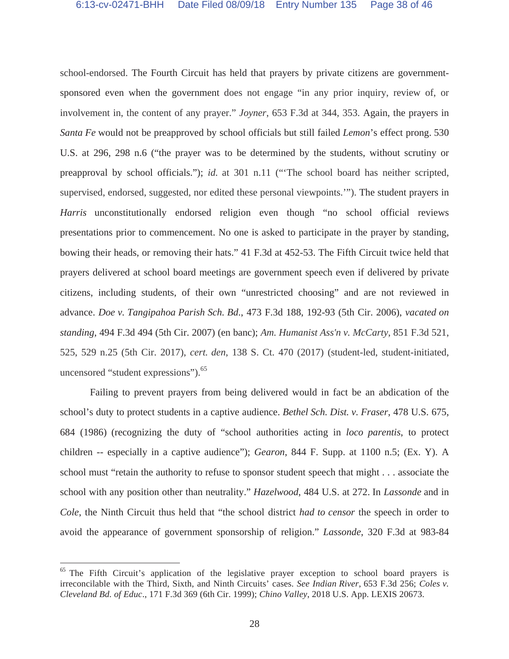school-endorsed. The Fourth Circuit has held that prayers by private citizens are governmentsponsored even when the government does not engage "in any prior inquiry, review of, or involvement in, the content of any prayer." *Joyner*, 653 F.3d at 344, 353. Again, the prayers in *Santa Fe* would not be preapproved by school officials but still failed *Lemon*'s effect prong. 530 U.S. at 296, 298 n.6 ("the prayer was to be determined by the students, without scrutiny or preapproval by school officials."); *id.* at 301 n.11 ("The school board has neither scripted, supervised, endorsed, suggested, nor edited these personal viewpoints.'"). The student prayers in *Harris* unconstitutionally endorsed religion even though "no school official reviews presentations prior to commencement. No one is asked to participate in the prayer by standing, bowing their heads, or removing their hats." 41 F.3d at 452-53. The Fifth Circuit twice held that prayers delivered at school board meetings are government speech even if delivered by private citizens, including students, of their own "unrestricted choosing" and are not reviewed in advance. *Doe v. Tangipahoa Parish Sch. Bd*., 473 F.3d 188, 192-93 (5th Cir. 2006), *vacated on standing*, 494 F.3d 494 (5th Cir. 2007) (en banc); *Am. Humanist Ass'n v. McCarty*, 851 F.3d 521, 525, 529 n.25 (5th Cir. 2017), *cert. den*, 138 S. Ct. 470 (2017) (student-led, student-initiated, uncensored "student expressions").<sup>65</sup>

Failing to prevent prayers from being delivered would in fact be an abdication of the school's duty to protect students in a captive audience. *Bethel Sch. Dist. v. Fraser*, 478 U.S. 675, 684 (1986) (recognizing the duty of "school authorities acting in *loco parentis*, to protect children -- especially in a captive audience"); *Gearon*, 844 F. Supp. at 1100 n.5; (Ex. Y). A school must "retain the authority to refuse to sponsor student speech that might . . . associate the school with any position other than neutrality." *Hazelwood*, 484 U.S. at 272. In *Lassonde* and in *Cole*, the Ninth Circuit thus held that "the school district *had to censor* the speech in order to avoid the appearance of government sponsorship of religion." *Lassonde*, 320 F.3d at 983-84

<sup>&</sup>lt;sup>65</sup> The Fifth Circuit's application of the legislative prayer exception to school board prayers is irreconcilable with the Third, Sixth, and Ninth Circuits' cases. *See Indian River*, 653 F.3d 256; *Coles v. Cleveland Bd. of Educ*., 171 F.3d 369 (6th Cir. 1999); *Chino Valley*, 2018 U.S. App. LEXIS 20673.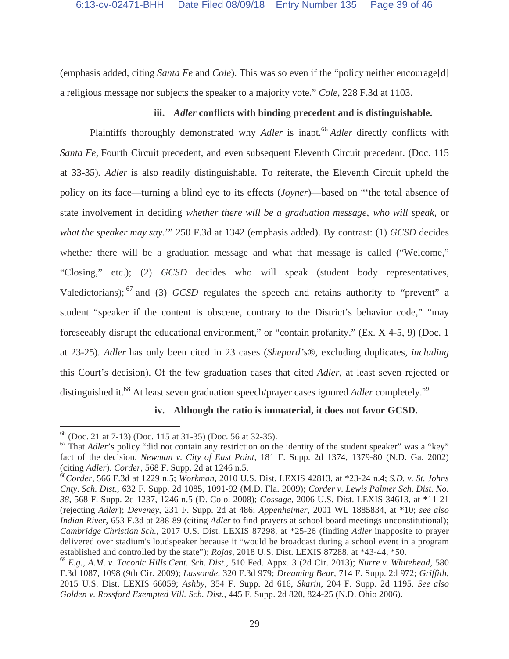(emphasis added, citing *Santa Fe* and *Cole*). This was so even if the "policy neither encourage[d] a religious message nor subjects the speaker to a majority vote." *Cole*, 228 F.3d at 1103.

### **iii.** *Adler* **conflicts with binding precedent and is distinguishable.**

Plaintiffs thoroughly demonstrated why *Adler* is inapt.<sup>66</sup> *Adler* directly conflicts with *Santa Fe*, Fourth Circuit precedent, and even subsequent Eleventh Circuit precedent. (Doc. 115 at 33-35)*. Adler* is also readily distinguishable. To reiterate, the Eleventh Circuit upheld the policy on its face—turning a blind eye to its effects (*Joyner*)—based on "'the total absence of state involvement in deciding *whether there will be a graduation message*, *who will speak*, or *what the speaker may say*.'" 250 F.3d at 1342 (emphasis added). By contrast: (1) *GCSD* decides whether there will be a graduation message and what that message is called ("Welcome," "Closing," etc.); (2) *GCSD* decides who will speak (student body representatives, Valedictorians); 67 and (3) *GCSD* regulates the speech and retains authority to "prevent" a student "speaker if the content is obscene, contrary to the District's behavior code," "may foreseeably disrupt the educational environment," or "contain profanity." (Ex. X 4-5, 9) (Doc. 1 at 23-25). *Adler* has only been cited in 23 cases (*Shepard's*®, excluding duplicates, *including*  this Court's decision). Of the few graduation cases that cited *Adler*, at least seven rejected or distinguished it.<sup>68</sup> At least seven graduation speech/prayer cases ignored *Adler* completely.<sup>69</sup>

#### **iv. Although the ratio is immaterial, it does not favor GCSD.**

<sup>66</sup> (Doc. 21 at 7-13) (Doc. 115 at 31-35) (Doc. 56 at 32-35).

<sup>&</sup>lt;sup>67</sup> That *Adler*'s policy "did not contain any restriction on the identity of the student speaker" was a "key" fact of the decision. *Newman v. City of East Point*, 181 F. Supp. 2d 1374, 1379-80 (N.D. Ga. 2002) (citing *Adler*). *Corder*, 568 F. Supp. 2d at 1246 n.5.

<sup>68</sup>*Corder*, 566 F.3d at 1229 n.5; *Workman*, 2010 U.S. Dist. LEXIS 42813, at \*23-24 n.4; *S.D. v. St. Johns Cnty. Sch. Dist*., 632 F. Supp. 2d 1085, 1091-92 (M.D. Fla. 2009); *Corder v. Lewis Palmer Sch. Dist. No. 38*, 568 F. Supp. 2d 1237, 1246 n.5 (D. Colo. 2008); *Gossage*, 2006 U.S. Dist. LEXIS 34613, at \*11-21 (rejecting *Adler*); *Deveney*, 231 F. Supp. 2d at 486; *Appenheimer*, 2001 WL 1885834, at \*10; *see also Indian River*, 653 F.3d at 288-89 (citing *Adler* to find prayers at school board meetings unconstitutional); *Cambridge Christian Sch.*, 2017 U.S. Dist. LEXIS 87298, at \*25-26 (finding *Adler* inapposite to prayer delivered over stadium's loudspeaker because it "would be broadcast during a school event in a program established and controlled by the state"); *Rojas*, 2018 U.S. Dist. LEXIS 87288, at \*43-44, \*50.

<sup>69</sup> *E.g.*, *A.M. v. Taconic Hills Cent. Sch. Dist*., 510 Fed. Appx. 3 (2d Cir. 2013); *Nurre v. Whitehead*, 580 F.3d 1087, 1098 (9th Cir. 2009); *Lassonde*, 320 F.3d 979; *Dreaming Bear*, 714 F. Supp. 2d 972; *Griffith*, 2015 U.S. Dist. LEXIS 66059; *Ashby*, 354 F. Supp. 2d 616, *Skarin*, 204 F. Supp. 2d 1195. *See also Golden v. Rossford Exempted Vill. Sch. Dist*., 445 F. Supp. 2d 820, 824-25 (N.D. Ohio 2006).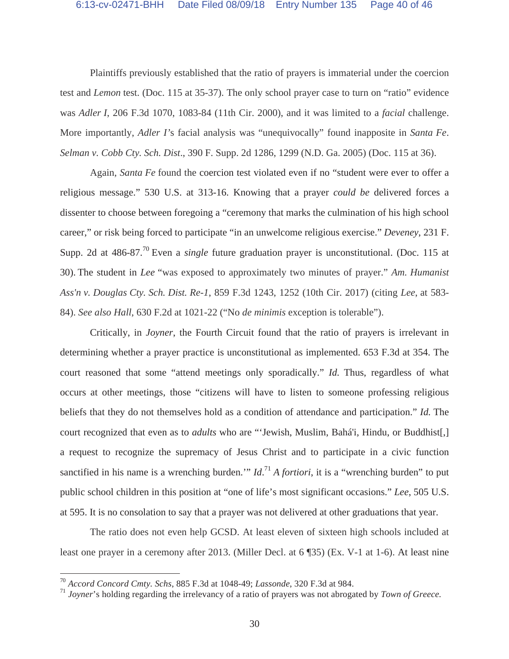Plaintiffs previously established that the ratio of prayers is immaterial under the coercion test and *Lemon* test. (Doc. 115 at 35-37). The only school prayer case to turn on "ratio" evidence was *Adler I*, 206 F.3d 1070, 1083-84 (11th Cir. 2000), and it was limited to a *facial* challenge. More importantly, *Adler I'*s facial analysis was "unequivocally" found inapposite in *Santa Fe*. *Selman v. Cobb Cty. Sch. Dist*., 390 F. Supp. 2d 1286, 1299 (N.D. Ga. 2005) (Doc. 115 at 36).

Again, *Santa Fe* found the coercion test violated even if no "student were ever to offer a religious message." 530 U.S. at 313-16. Knowing that a prayer *could be* delivered forces a dissenter to choose between foregoing a "ceremony that marks the culmination of his high school career," or risk being forced to participate "in an unwelcome religious exercise." *Deveney*, 231 F. Supp. 2d at 486-87.<sup>70</sup> Even a *single* future graduation prayer is unconstitutional. (Doc. 115 at 30). The student in *Lee* "was exposed to approximately two minutes of prayer." *Am. Humanist Ass'n v. Douglas Cty. Sch. Dist. Re-1*, 859 F.3d 1243, 1252 (10th Cir. 2017) (citing *Lee*, at 583- 84). *See also Hall*, 630 F.2d at 1021-22 ("No *de minimis* exception is tolerable").

Critically, in *Joyner*, the Fourth Circuit found that the ratio of prayers is irrelevant in determining whether a prayer practice is unconstitutional as implemented. 653 F.3d at 354. The court reasoned that some "attend meetings only sporadically." *Id.* Thus, regardless of what occurs at other meetings, those "citizens will have to listen to someone professing religious beliefs that they do not themselves hold as a condition of attendance and participation." *Id.* The court recognized that even as to *adults* who are "'Jewish, Muslim, Bahá'i, Hindu, or Buddhist[,] a request to recognize the supremacy of Jesus Christ and to participate in a civic function sanctified in his name is a wrenching burden.'" *Id*. <sup>71</sup> *A fortiori*, it is a "wrenching burden" to put public school children in this position at "one of life's most significant occasions." *Lee*, 505 U.S. at 595. It is no consolation to say that a prayer was not delivered at other graduations that year.

The ratio does not even help GCSD. At least eleven of sixteen high schools included at least one prayer in a ceremony after 2013. (Miller Decl. at 6 ¶35) (Ex. V-1 at 1-6). At least nine

<sup>70</sup> *Accord Concord Cmty. Schs*, 885 F.3d at 1048-49; *Lassonde*, 320 F.3d at 984.

<sup>71</sup> *Joyner*'s holding regarding the irrelevancy of a ratio of prayers was not abrogated by *Town of Greece.*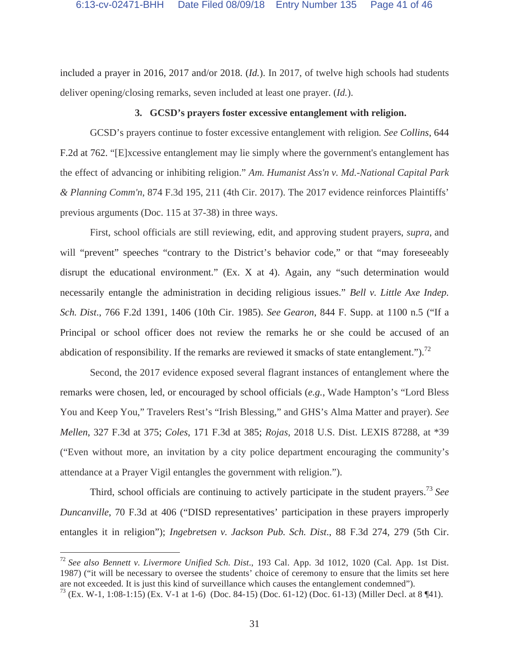included a prayer in 2016, 2017 and/or 2018. (*Id.*). In 2017, of twelve high schools had students deliver opening/closing remarks, seven included at least one prayer. (*Id.*).

#### **3. GCSD's prayers foster excessive entanglement with religion.**

GCSD's prayers continue to foster excessive entanglement with religion*. See Collins*, 644 F.2d at 762. "[E]xcessive entanglement may lie simply where the government's entanglement has the effect of advancing or inhibiting religion." *Am. Humanist Ass'n v. Md.-National Capital Park & Planning Comm'n*, 874 F.3d 195, 211 (4th Cir. 2017). The 2017 evidence reinforces Plaintiffs' previous arguments (Doc. 115 at 37-38) in three ways.

First, school officials are still reviewing, edit, and approving student prayers, *supra*, and will "prevent" speeches "contrary to the District's behavior code," or that "may foreseeably disrupt the educational environment." (Ex. X at 4). Again, any "such determination would necessarily entangle the administration in deciding religious issues." *Bell v. Little Axe Indep. Sch. Dist*., 766 F.2d 1391, 1406 (10th Cir. 1985). *See Gearon*, 844 F. Supp. at 1100 n.5 ("If a Principal or school officer does not review the remarks he or she could be accused of an abdication of responsibility. If the remarks are reviewed it smacks of state entanglement.").<sup>72</sup>

Second, the 2017 evidence exposed several flagrant instances of entanglement where the remarks were chosen, led, or encouraged by school officials (*e.g.*, Wade Hampton's "Lord Bless You and Keep You," Travelers Rest's "Irish Blessing," and GHS's Alma Matter and prayer). *See Mellen*, 327 F.3d at 375; *Coles*, 171 F.3d at 385; *Rojas*, 2018 U.S. Dist. LEXIS 87288, at \*39 ("Even without more, an invitation by a city police department encouraging the community's attendance at a Prayer Vigil entangles the government with religion.").

 Third, school officials are continuing to actively participate in the student prayers.73 *See Duncanville*, 70 F.3d at 406 ("DISD representatives' participation in these prayers improperly entangles it in religion"); *Ingebretsen v. Jackson Pub. Sch. Dist*., 88 F.3d 274, 279 (5th Cir.

<sup>72</sup> *See also Bennett v. Livermore Unified Sch. Dist*., 193 Cal. App. 3d 1012, 1020 (Cal. App. 1st Dist. 1987) ("it will be necessary to oversee the students' choice of ceremony to ensure that the limits set here are not exceeded. It is just this kind of surveillance which causes the entanglement condemned").

 $^{73}$  (Ex. W-1, 1:08-1:15) (Ex. V-1 at 1-6) (Doc. 84-15) (Doc. 61-12) (Doc. 61-13) (Miller Decl. at 8 ¶41).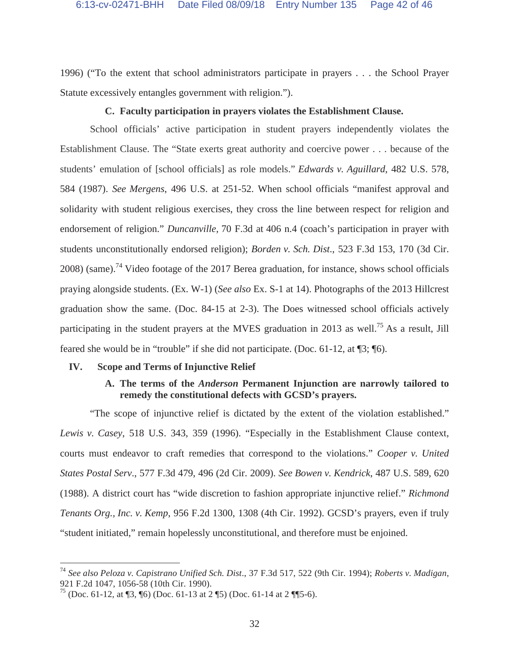1996) ("To the extent that school administrators participate in prayers . . . the School Prayer Statute excessively entangles government with religion.").

### **C. Faculty participation in prayers violates the Establishment Clause.**

School officials' active participation in student prayers independently violates the Establishment Clause. The "State exerts great authority and coercive power . . . because of the students' emulation of [school officials] as role models." *Edwards v. Aguillard*, 482 U.S. 578, 584 (1987). *See Mergens*, 496 U.S. at 251-52. When school officials "manifest approval and solidarity with student religious exercises, they cross the line between respect for religion and endorsement of religion." *Duncanville*, 70 F.3d at 406 n.4 (coach's participation in prayer with students unconstitutionally endorsed religion); *Borden v. Sch. Dist*., 523 F.3d 153, 170 (3d Cir.  $2008$ ) (same).<sup>74</sup> Video footage of the 2017 Berea graduation, for instance, shows school officials praying alongside students. (Ex. W-1) (*See also* Ex. S-1 at 14). Photographs of the 2013 Hillcrest graduation show the same. (Doc. 84-15 at 2-3). The Does witnessed school officials actively participating in the student prayers at the MVES graduation in 2013 as well.<sup>75</sup> As a result, Jill feared she would be in "trouble" if she did not participate. (Doc. 61-12, at ¶3; ¶6).

#### **IV. Scope and Terms of Injunctive Relief**

## **A. The terms of the** *Anderson* **Permanent Injunction are narrowly tailored to remedy the constitutional defects with GCSD's prayers.**

"The scope of injunctive relief is dictated by the extent of the violation established." *Lewis v. Casey*, 518 U.S. 343, 359 (1996). "Especially in the Establishment Clause context, courts must endeavor to craft remedies that correspond to the violations." *Cooper v. United States Postal Serv*., 577 F.3d 479, 496 (2d Cir. 2009). *See Bowen v. Kendrick*, 487 U.S. 589, 620 (1988). A district court has "wide discretion to fashion appropriate injunctive relief." *Richmond Tenants Org., Inc. v. Kemp*, 956 F.2d 1300, 1308 (4th Cir. 1992). GCSD's prayers, even if truly "student initiated," remain hopelessly unconstitutional, and therefore must be enjoined.

<sup>74</sup> *See also Peloza v. Capistrano Unified Sch. Dist*., 37 F.3d 517, 522 (9th Cir. 1994); *Roberts v. Madigan*, 921 F.2d 1047, 1056-58 (10th Cir. 1990).

<sup>&</sup>lt;sup>75</sup> (Doc. 61-12, at  $\sqrt{3}$ ,  $\sqrt{6}$ ) (Doc. 61-13 at 2 $\sqrt{5}$ ) (Doc. 61-14 at 2 $\sqrt{5}$ –6).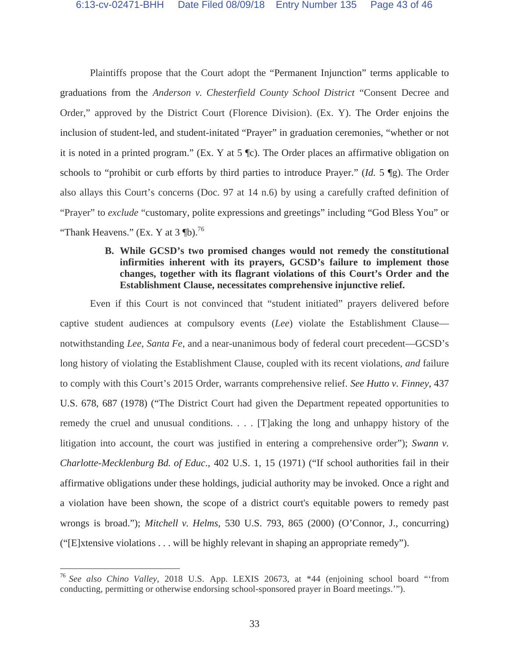Plaintiffs propose that the Court adopt the "Permanent Injunction" terms applicable to graduations from the *Anderson v. Chesterfield County School District* "Consent Decree and Order," approved by the District Court (Florence Division). (Ex. Y). The Order enjoins the inclusion of student-led, and student-initated "Prayer" in graduation ceremonies, "whether or not it is noted in a printed program." (Ex. Y at 5 ¶c). The Order places an affirmative obligation on schools to "prohibit or curb efforts by third parties to introduce Prayer." (*Id.* 5 ¶g). The Order also allays this Court's concerns (Doc. 97 at 14 n.6) by using a carefully crafted definition of "Prayer" to *exclude* "customary, polite expressions and greetings" including "God Bless You" or "Thank Heavens." (Ex. Y at  $3 \text{ }\mathbb{I}^5$ ).<sup>76</sup>

# **B. While GCSD's two promised changes would not remedy the constitutional infirmities inherent with its prayers, GCSD's failure to implement those changes, together with its flagrant violations of this Court's Order and the Establishment Clause, necessitates comprehensive injunctive relief.**

Even if this Court is not convinced that "student initiated" prayers delivered before captive student audiences at compulsory events (*Lee*) violate the Establishment Clause notwithstanding *Lee*, *Santa Fe*, and a near-unanimous body of federal court precedent—GCSD's long history of violating the Establishment Clause, coupled with its recent violations, *and* failure to comply with this Court's 2015 Order, warrants comprehensive relief. *See Hutto v. Finney*, 437 U.S. 678, 687 (1978) ("The District Court had given the Department repeated opportunities to remedy the cruel and unusual conditions. . . . [T]aking the long and unhappy history of the litigation into account, the court was justified in entering a comprehensive order"); *Swann v. Charlotte-Mecklenburg Bd. of Educ*., 402 U.S. 1, 15 (1971) ("If school authorities fail in their affirmative obligations under these holdings, judicial authority may be invoked. Once a right and a violation have been shown, the scope of a district court's equitable powers to remedy past wrongs is broad."); *Mitchell v. Helms*, 530 U.S. 793, 865 (2000) (O'Connor, J., concurring) ("[E]xtensive violations . . . will be highly relevant in shaping an appropriate remedy").

<sup>76</sup> *See also Chino Valley*, 2018 U.S. App. LEXIS 20673, at \*44 (enjoining school board "'from conducting, permitting or otherwise endorsing school-sponsored prayer in Board meetings.'").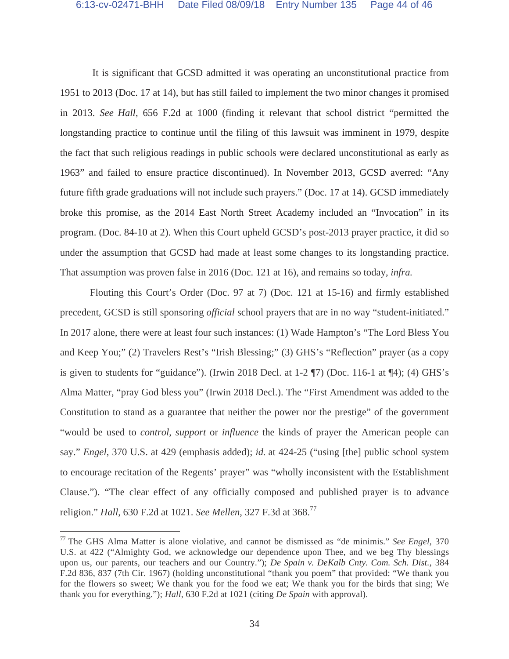It is significant that GCSD admitted it was operating an unconstitutional practice from 1951 to 2013 (Doc. 17 at 14), but has still failed to implement the two minor changes it promised in 2013. *See Hall*, 656 F.2d at 1000 (finding it relevant that school district "permitted the longstanding practice to continue until the filing of this lawsuit was imminent in 1979, despite the fact that such religious readings in public schools were declared unconstitutional as early as 1963" and failed to ensure practice discontinued). In November 2013, GCSD averred: "Any future fifth grade graduations will not include such prayers." (Doc. 17 at 14). GCSD immediately broke this promise, as the 2014 East North Street Academy included an "Invocation" in its program. (Doc. 84-10 at 2). When this Court upheld GCSD's post-2013 prayer practice, it did so under the assumption that GCSD had made at least some changes to its longstanding practice. That assumption was proven false in 2016 (Doc. 121 at 16), and remains so today, *infra.* 

Flouting this Court's Order (Doc. 97 at 7) (Doc. 121 at 15-16) and firmly established precedent, GCSD is still sponsoring *official* school prayers that are in no way "student-initiated." In 2017 alone, there were at least four such instances: (1) Wade Hampton's "The Lord Bless You and Keep You;" (2) Travelers Rest's "Irish Blessing;" (3) GHS's "Reflection" prayer (as a copy is given to students for "guidance"). (Irwin 2018 Decl. at 1-2 ¶7) (Doc. 116-1 at ¶4); (4) GHS's Alma Matter, "pray God bless you" (Irwin 2018 Decl.). The "First Amendment was added to the Constitution to stand as a guarantee that neither the power nor the prestige" of the government "would be used to *control*, *support* or *influence* the kinds of prayer the American people can say." *Engel*, 370 U.S. at 429 (emphasis added); *id.* at 424-25 ("using [the] public school system to encourage recitation of the Regents' prayer" was "wholly inconsistent with the Establishment Clause."). "The clear effect of any officially composed and published prayer is to advance religion." *Hall*, 630 F.2d at 1021. *See Mellen*, 327 F.3d at 368.77

<sup>77</sup> The GHS Alma Matter is alone violative, and cannot be dismissed as "de minimis." *See Engel*, 370 U.S. at 422 ("Almighty God, we acknowledge our dependence upon Thee, and we beg Thy blessings upon us, our parents, our teachers and our Country."); *De Spain v. DeKalb Cnty. Com. Sch. Dist.*, 384 F.2d 836, 837 (7th Cir. 1967) (holding unconstitutional "thank you poem" that provided: "We thank you for the flowers so sweet; We thank you for the food we eat; We thank you for the birds that sing; We thank you for everything."); *Hall*, 630 F.2d at 1021 (citing *De Spain* with approval).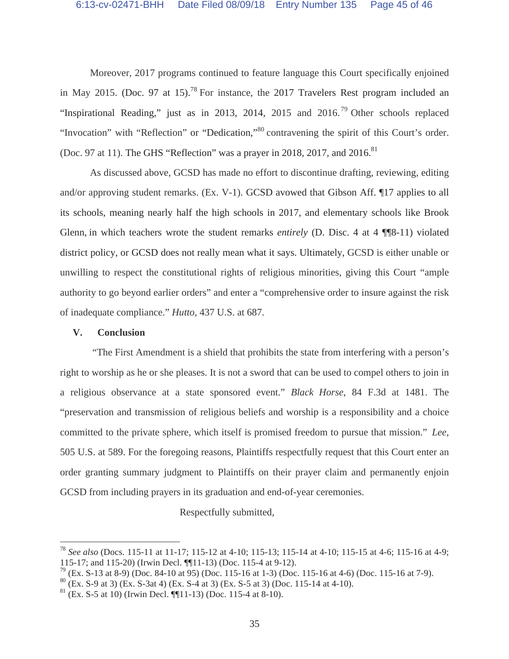Moreover, 2017 programs continued to feature language this Court specifically enjoined in May 2015. (Doc. 97 at 15).<sup>78</sup> For instance, the 2017 Travelers Rest program included an "Inspirational Reading," just as in 2013, 2014, 2015 and  $2016$ <sup>79</sup> Other schools replaced "Invocation" with "Reflection" or "Dedication,"<sup>80</sup> contravening the spirit of this Court's order. (Doc. 97 at 11). The GHS "Reflection" was a prayer in 2018, 2017, and 2016.<sup>81</sup>

As discussed above, GCSD has made no effort to discontinue drafting, reviewing, editing and/or approving student remarks. (Ex. V-1). GCSD avowed that Gibson Aff. ¶17 applies to all its schools, meaning nearly half the high schools in 2017, and elementary schools like Brook Glenn, in which teachers wrote the student remarks *entirely* (D. Disc. 4 at 4 ¶¶8-11) violated district policy, or GCSD does not really mean what it says. Ultimately, GCSD is either unable or unwilling to respect the constitutional rights of religious minorities, giving this Court "ample authority to go beyond earlier orders" and enter a "comprehensive order to insure against the risk of inadequate compliance." *Hutto*, 437 U.S. at 687.

#### **V. Conclusion**

 $\overline{a}$ 

 "The First Amendment is a shield that prohibits the state from interfering with a person's right to worship as he or she pleases. It is not a sword that can be used to compel others to join in a religious observance at a state sponsored event." *Black Horse*, 84 F.3d at 1481. The "preservation and transmission of religious beliefs and worship is a responsibility and a choice committed to the private sphere, which itself is promised freedom to pursue that mission." *Lee*, 505 U.S. at 589. For the foregoing reasons, Plaintiffs respectfully request that this Court enter an order granting summary judgment to Plaintiffs on their prayer claim and permanently enjoin GCSD from including prayers in its graduation and end-of-year ceremonies.

Respectfully submitted,

<sup>78</sup> *See also* (Docs. 115-11 at 11-17; 115-12 at 4-10; 115-13; 115-14 at 4-10; 115-15 at 4-6; 115-16 at 4-9; 115-17; and 115-20) (Irwin Decl. ¶¶11-13) (Doc. 115-4 at 9-12).

 $^{79}$  (Ex. S-13 at 8-9) (Doc. 84-10 at 95) (Doc. 115-16 at 1-3) (Doc. 115-16 at 4-6) (Doc. 115-16 at 7-9).

 $80$  (Ex. S-9 at 3) (Ex. S-3at 4) (Ex. S-4 at 3) (Ex. S-5 at 3) (Doc. 115-14 at 4-10).

 $81$  (Ex. S-5 at 10) (Irwin Decl. [[11-13) (Doc. 115-4 at 8-10).